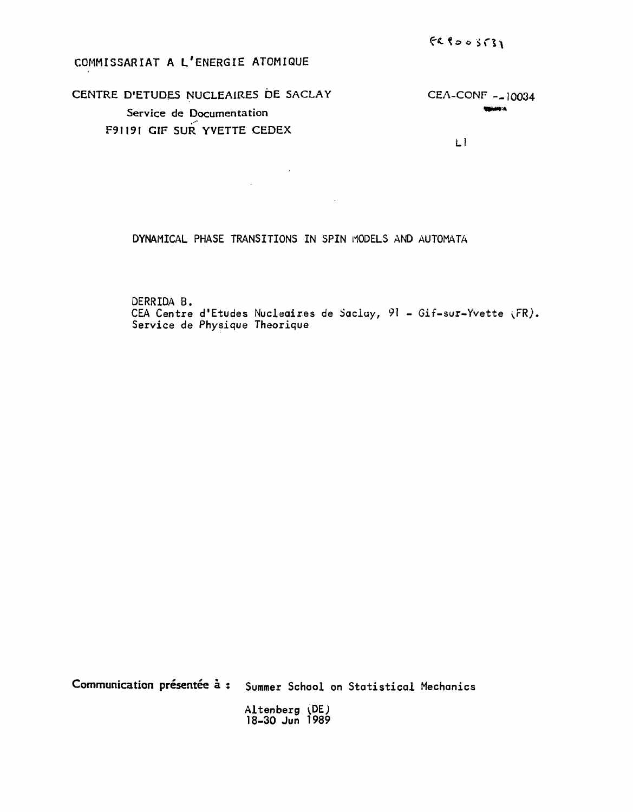# COMMISSARIAT A L'ENERGIE ATOMIQUE

### CENTRE D'ETUDES NUCLEAIRES DE SACLAY CEA-CONF -\_ 10034 **SUGHARA** Service de Documentation F91191 GIF SUR YVETTE CEDEX

 $\label{eq:2.1} \frac{1}{\sqrt{2\pi}}\int_{0}^{\infty}\frac{1}{\sqrt{2\pi}}\left(\frac{1}{\sqrt{2\pi}}\right)^{2\alpha} \frac{1}{\sqrt{2\pi}}\frac{1}{\sqrt{2\pi}}\frac{1}{\sqrt{2\pi}}\frac{1}{\sqrt{2\pi}}\frac{1}{\sqrt{2\pi}}\frac{1}{\sqrt{2\pi}}\frac{1}{\sqrt{2\pi}}\frac{1}{\sqrt{2\pi}}\frac{1}{\sqrt{2\pi}}\frac{1}{\sqrt{2\pi}}\frac{1}{\sqrt{2\pi}}\frac{1}{\sqrt{2\pi}}\frac{1}{\sqrt{2\pi}}$ 

Ll

DYNAMICAL PHASE TRANSITIONS IN SPIN MODELS AND AUTOMATA

 $\mathcal{L}^{\text{max}}_{\text{max}}$  and  $\mathcal{L}^{\text{max}}_{\text{max}}$ 

DERRIDA B. CEA Centre d'Etudes Nucleaires de Saclay, 91 - Gif-sur-Yvette (FR). Service de Physique Theorique

Communication **présentée à** : Summer School on Statistical Mechanics Altenberg 18-30 Jun 1989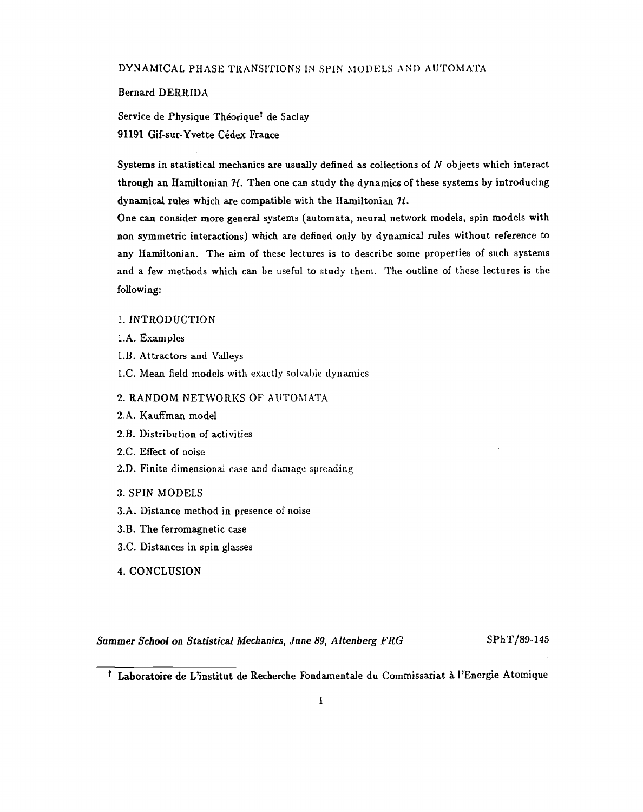#### DYNAMICAL PHASE TRANSITIONS IN SPIN MODELS AND AUTOMATA

#### Bernard DERRIDA

Service de Physique Théorique<sup>t</sup> de Saclay 91191 Gif-sur-Yvette Cédex France

Systems in statistical mechanics are usually defined as collections of *N* objects which interact through an Hamiltonian  $H$ . Then one can study the dynamics of these systems by introducing dynamical rules which are compatible with the Hamiltonian *Ji.*

One can consider more general systems (automata, neural network models, spin models with non symmetric interactions) which are defined only by dynamical rules without reference to any Hamiltonian. The aim of these lectures is to describe some properties of such systems and a few methods which can be useful to study them. The outline of these lectures is the following:

#### 1. INTRODUCTION

- l.A. Examples
- l.B. Attractors and Valleys
- l.C. Mean field models with exactly solvable dynamics

#### 2. RANDOM NETWORKS OF AUTOMATA

- 2.A. Kauffman model
- 2.B. Distribution of activities
- 2.C. Effect of noise
- 2.D. Finite dimensional case and damage spreading
- 3. SPIN MODELS
- 3.A. Distance method in presence of noise
- 3.B. The ferromagnetic case
- 3.C. Distances in spin glasses
- 4. CONCLUSION

*Summer School on Statistical Mechanics, June 89, Altenberg FRG* SPhT/89-145

Laboratoire de L'institut de Recherche Fondamentale du Commissariat à l'Energie Atomique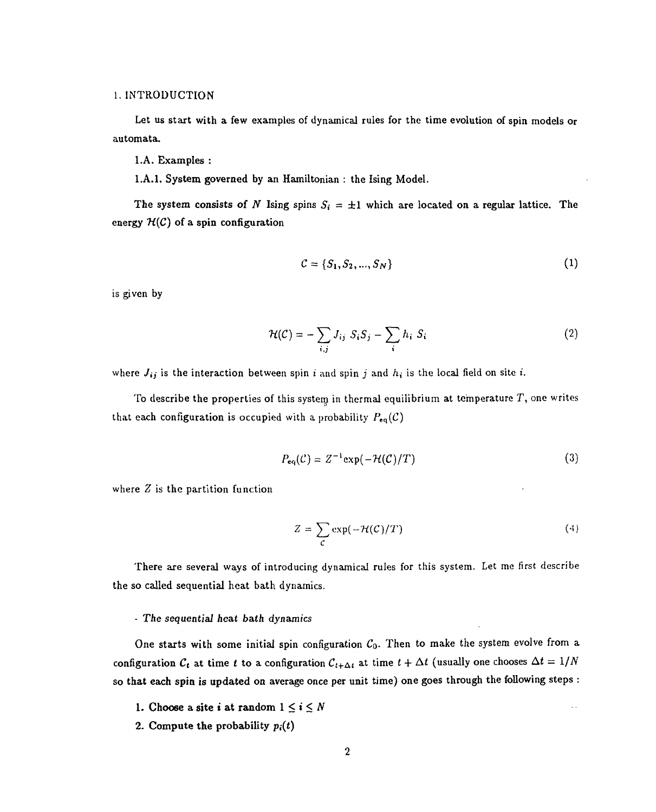#### 1. INTRODUCTION

Let us start with a few examples of dynamical rules for the time evolution of spin models or automata.

l.A. Examples :

I.A.I. System governed by an Hamiltonian : the Ising Model.

The system consists of *N* Ising spins  $S_i = \pm 1$  which are located on a regular lattice. The energy  $H(C)$  of a spin configuration

$$
C = \{S_1, S_2, ..., S_N\}
$$
 (1)

is given by

$$
\mathcal{H}(\mathcal{C}) = -\sum_{i,j} J_{ij} S_i S_j - \sum_i h_i S_i \tag{2}
$$

where  $J_{ij}$  is the interaction between spin i and spin j and  $h_i$  is the local field on site i.

To describe the properties of this system in thermal equilibrium at temperature  $T$ , one writes that each configuration is occupied with a probability  $P_{eq}(\mathcal{C})$ 

$$
P_{\mathbf{eq}}(\mathcal{C}) = Z^{-1} \exp(-\mathcal{H}(\mathcal{C})/T) \tag{3}
$$

where  $Z$  is the partition function

$$
Z = \sum_{\mathcal{C}} \exp(-\mathcal{H}(\mathcal{C})/T) \tag{4}
$$

There are several ways of introducing dynamical rules for this system. Let me first describe the so called sequential heat bath dynamics.

#### - The *sequential heat* bath dynamics

One starts with some initial spin configuration  $C_0$ . Then to make the system evolve from a configuration  $\mathcal{C}_{\bm{t}}$  at time  $t$  to a configuration  $\mathcal{C}_{t+\Delta t}$  at time  $t+\Delta t$  (usually one chooses  $\Delta t=1/N$ so that each spin is updated on average once per unit time) one goes through the following steps :

- 1. Choose a site *i* at random  $1 \le i \le N$
- 2. Compute the probability  $p_i(t)$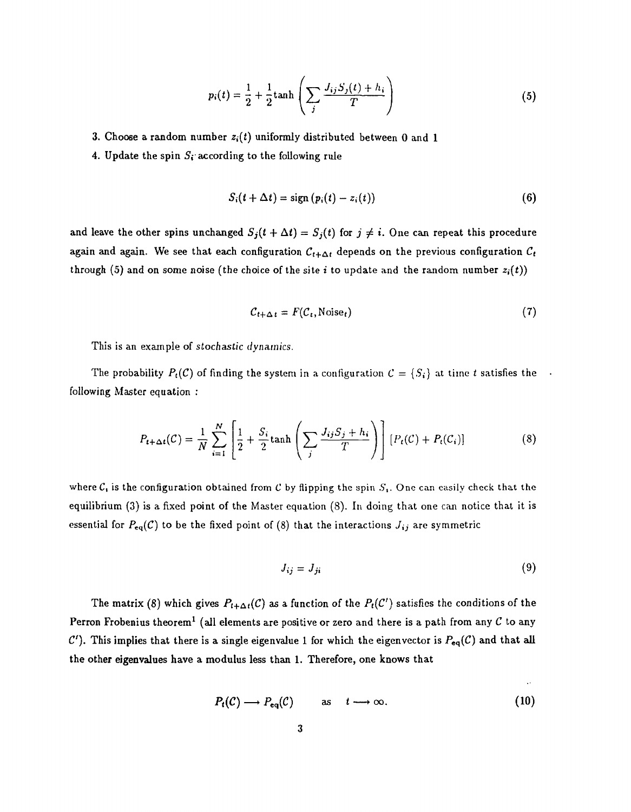$$
p_i(t) = \frac{1}{2} + \frac{1}{2} \tanh\left(\sum_j \frac{J_{ij} S_j(t) + h_i}{T}\right)
$$
 (5)

3. Choose a random number  $z_i(t)$  uniformly distributed between 0 and 1

4. Update the spin  $S_i$  according to the following rule

$$
S_i(t + \Delta t) = \text{sign}(p_i(t) - z_i(t))
$$
\n(6)

and leave the other spins unchanged  $S_j(t + \Delta t) = S_j(t)$  for  $j \neq i$ . One can repeat this procedure again and again. We see that each configuration  $C_{t+\Delta t}$  depends on the previous configuration  $C_t$ through (5) and on some noise (the choice of the site i to update and the random number  $z_i(t)$ )

$$
C_{t+\Delta t} = F(C_t, \text{Noise}_t) \tag{7}
$$

This is an example of stochastic *dynamics.*

The probability  $P_t(\mathcal{C})$  of finding the system in a configuration  $\mathcal{C} = \{S_i\}$  at time t satisfies the following Master equation :

$$
P_{t+\Delta t}(\mathcal{C}) = \frac{1}{N} \sum_{i=1}^{N} \left[ \frac{1}{2} + \frac{S_i}{2} \tanh\left(\sum_j \frac{J_{ij}S_j + h_i}{T}\right) \right] \left[ P_t(\mathcal{C}) + P_t(\mathcal{C}_i) \right]
$$
(8)

where  $C_i$  is the configuration obtained from C by flipping the spin  $S_i$ . One can easily check that the equilibrium (3) is a fixed point of the Master equation (8). In doing that one can notice that it is essential for  $P_{eq}(\mathcal{C})$  to be the fixed point of (8) that the interactions  $J_{ij}$  are symmetric

$$
J_{ij} = J_{ji} \tag{9}
$$

 $\ddot{\phantom{a}}$ 

The matrix (8) which gives  $P_{t+\Delta t}(C)$  as a function of the  $P_t(C')$  satisfies the conditions of the Perron Frobenius theorem<sup>1</sup> (all elements are positive or zero and there is a path from any  ${\cal C}$  to any  $C'$ ). This implies that there is a single eigenvalue 1 for which the eigenvector is  $P_{eq}(\mathcal{C})$  and that all the other eigenvalues have a modulus less than 1. Therefore, one knows that

$$
P_t(\mathcal{C}) \longrightarrow P_{eq}(\mathcal{C}) \quad \text{as} \quad t \longrightarrow \infty. \tag{10}
$$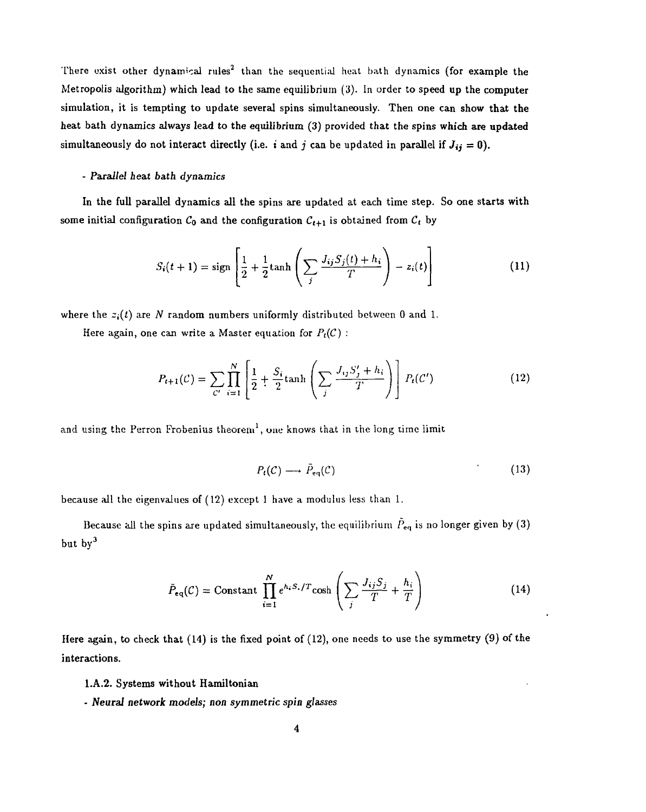There exist other dynamical rules<sup>2</sup> than the sequential heat bath dynamics (for example the Metropolis algorithm) which lead to the same equilibrium (3). In order to speed up the computer simulation, it is tempting to update several spins simultaneously. Then one can show that the heat bath dynamics always lead to the equilibrium (3) provided that the spins which are updated simultaneously do not interact directly (i.e. i and j can be updated in parallel if  $J_{ij} = 0$ ).

#### - *Parallel heat bath dynamics*

In the full parallel dynamics all the spins are updated at each time step. So one starts with some initial configuration  $C_0$  and the configuration  $C_{t+1}$  is obtained from  $C_t$  by

$$
S_i(t+1) = sign\left[\frac{1}{2} + \frac{1}{2}tanh\left(\sum_j \frac{J_{ij}S_j(t) + h_i}{T}\right) - z_i(t)\right]
$$
 (11)

where the  $z_i(t)$  are N random numbers uniformly distributed between 0 and 1.

Here again, one can write a Master equation for  $P_t(\mathcal{C})$ :

$$
P_{t+1}(\mathcal{C}) = \sum_{\mathcal{C}'} \prod_{i=1}^{N} \left[ \frac{1}{2} + \frac{S_i}{2} \tanh\left(\sum_j \frac{J_{ij} S'_j + h_i}{T}\right) \right] P_t(\mathcal{C}') \tag{12}
$$

and using the Perron Frobenius theorem $^1,$  one knows that in the long time limit

$$
P_t(\mathcal{C}) \longrightarrow \tilde{P}_{eq}(\mathcal{C}) \tag{13}
$$

because all the eigenvalues of (12) except 1 have a modulus less than 1.

Because all the spins are updated simultaneously, the equilibrium  $\tilde{P}_{eq}$  is no longer given by (3) but by<sup>3</sup>

$$
\tilde{P}_{eq}(\mathcal{C}) = \text{Constant } \prod_{i=1}^{N} e^{h_i S_i / T} \cosh \left( \sum_j \frac{J_{ij} S_j}{T} + \frac{h_i}{T} \right)
$$
\n(14)

Here again, to check that (14) is the fixed point of (12), one needs to use the symmetry (9) of the interactions.

l.A.2. Systems without Hamiltonian

- *Neural network models; non symmetric spin glasses*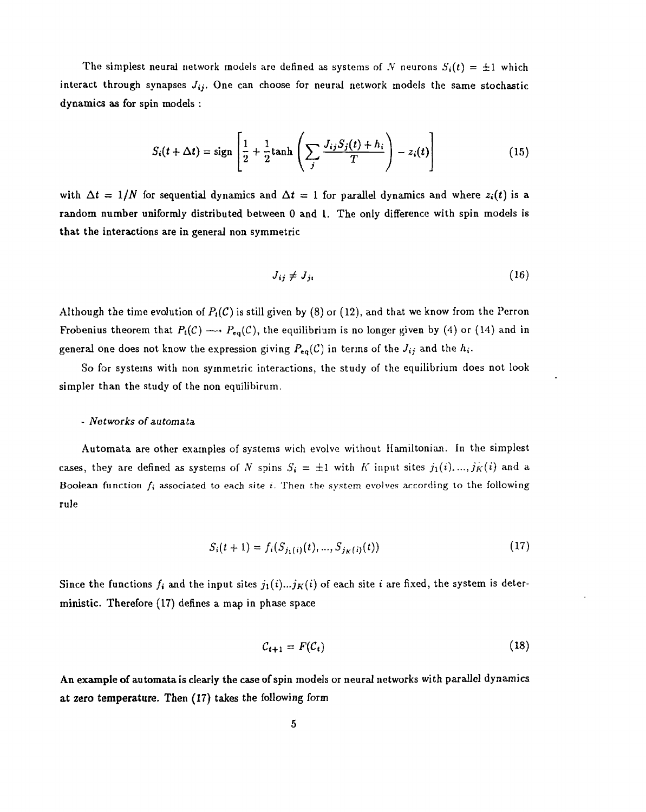The simplest neural network models are defined as systems of N neurons  $S_i(t) = \pm 1$  which interact through synapses *Jij.* One can choose for neural network models the same stochastic dynamics as for spin models :

$$
S_i(t + \Delta t) = \text{sign}\left[\frac{1}{2} + \frac{1}{2}\text{tanh}\left(\sum_j \frac{J_{ij}S_j(t) + h_i}{T}\right) - z_i(t)\right]
$$
(15)

with  $\Delta t = 1/N$  for sequential dynamics and  $\Delta t = 1$  for parallel dynamics and where  $z_i(t)$  is a random number uniformly distributed between 0 and 1. The only difference with spin models is that the interactions are in general non symmetric

$$
J_{ij} \neq J_{ji} \tag{16}
$$

Although the time evolution of  $P<sub>t</sub>(C)$  is still given by (8) or (12), and that we know from the Perron Frobenius theorem that  $P_t(\mathcal{C}) \longrightarrow P_{eq}(\mathcal{C})$ , the equilibrium is no longer given by (4) or (14) and in general one does not know the expression giving  $P_{eq}(\mathcal{C})$  in terms of the  $J_{ij}$  and the  $h_i$ .

So for systems with non symmetric interactions, the study of the equilibrium does not look simpler than the study of the non equilibirum.

#### - *Networks of* automata

Automata are other examples of systems wich evolve without Hamiltonian. In the simplest cases, they are defined as systems of *N* spins  $S_i = \pm 1$  with *K* input sites  $j_1(i), ..., j_K(i)$  and a Boolean function  $f_i$  associated to each site *i*. Then the system evolves according to the following rule

$$
S_i(t+1) = f_i(S_{j_1(i)}(t), ..., S_{j_K(i)}(t))
$$
\n(17)

Since the functions  $f_i$  and the input sites  $j_1(i)...j_K(i)$  of each site i are fixed, the system is deterministic. Therefore (17) defines a map in phase space

$$
C_{t+1} = F(C_t) \tag{18}
$$

An example of automata is clearly the case of spin models or neural networks with parallel dynamics at zero temperature. Then (17) takes the following form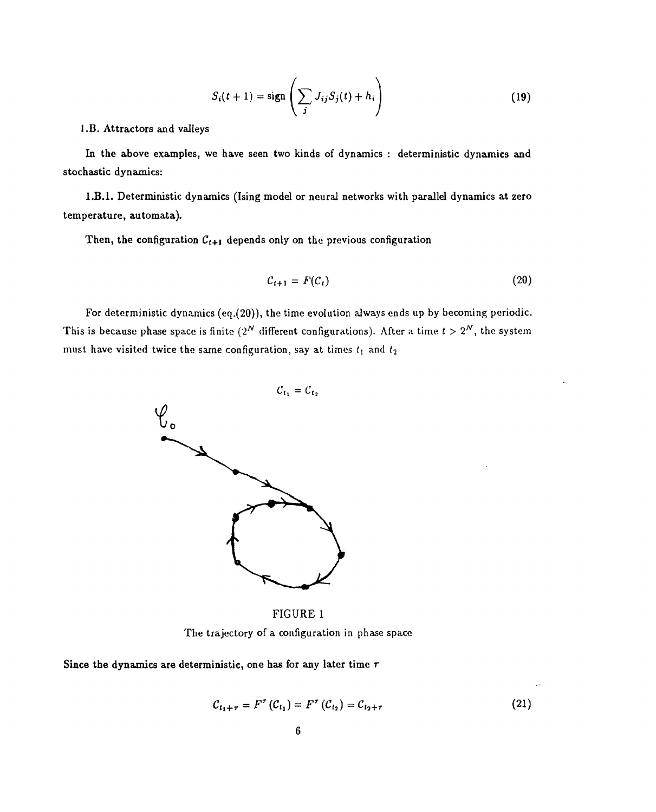$$
S_i(t+1) = \text{sign}\left(\sum_j J_{ij} S_j(t) + h_i\right)
$$
 (19)

I .B. Attractors and valleys

In the above examples, we have seen two kinds of dynamics : deterministic dynamics and stochastic dynamics:

I.B.I. Deterministic dynamics (Ising model or neural networks with parallel dynamics at zero temperature, automata).

Then, the configuration  $C_{t+1}$  depends only on the previous configuration

$$
C_{t+1} = F(C_t) \tag{20}
$$

For deterministic dynamics (eq.(20)), the time evolution always ends up by becoming periodic. This is because phase space is finite  $(2^N$  different configurations). After a time  $t > 2^N$ , the system must have visited twice the same configuration, say at times  $t_1$  and  $t_2$ 



FIGURE 1 The trajectory of a configuration in phase space

Since the dynamics are deterministic, one has for any later time *T*

$$
C_{t_1+\tau} = F^{\tau} (C_{t_1}) = F^{\tau} (C_{t_2}) = C_{t_2+\tau}
$$
 (21)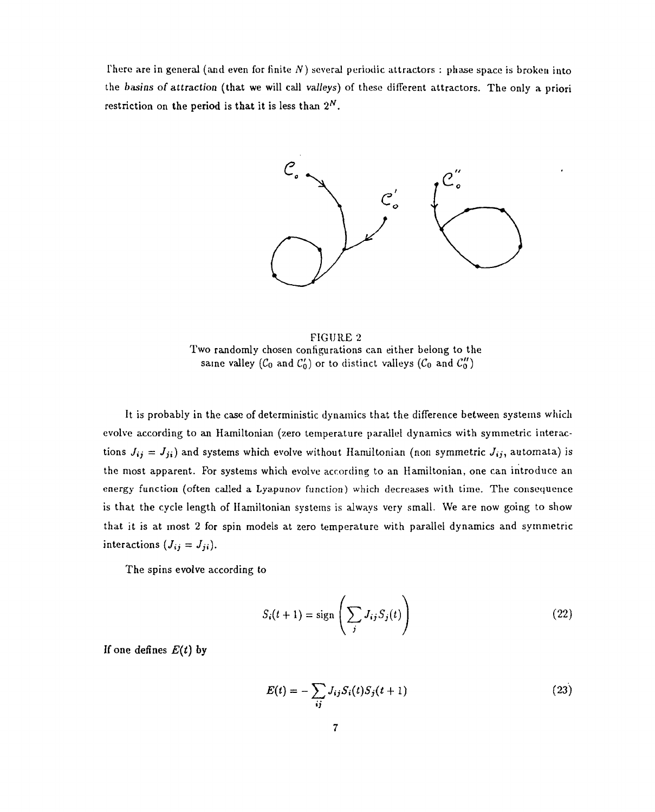There are in general (and even for finite N) several periodic attractors : phase space is broken into the *basins of attraction* (that we will call va//eys) of these different attractors. The only a priori restriction on the period is that it is less than  $2^N$ .



FIGURE 2 Two randomly chosen configurations can either belong to the same valley ( $C_0$  and  $C'_0$ ) or to distinct valleys ( $C_0$  and  $C''_0$ )

It is probably in the case of deterministic dynamics that the difference between systems which evolve according to an Hamiltonian (zero temperature parallel dynamics with symmetric interactions  $J_{ij} = J_{ji}$ ) and systems which evolve without Hamiltonian (non symmetric  $J_{ij}$ , automata) is the most apparent. For systems which evolve according to an Hamiltonian, one can introduce an energy function (often called a Lyapunov function) which decreases with time. The consequence is that the cycle length of Hamiltonian systems is always very small. We are now going to show that it is at most 2 for spin models at zero temperature with parallel dynamics and symmetric interactions  $(J_{ij} = J_{ji}).$ 

The spins evolve according to

$$
S_i(t+1) = \text{sign}\left(\sum_j J_{ij} S_j(t)\right) \tag{22}
$$

If one defines *E(t)* by

$$
E(t) = -\sum_{ij} J_{ij} S_i(t) S_j(t+1)
$$
 (23)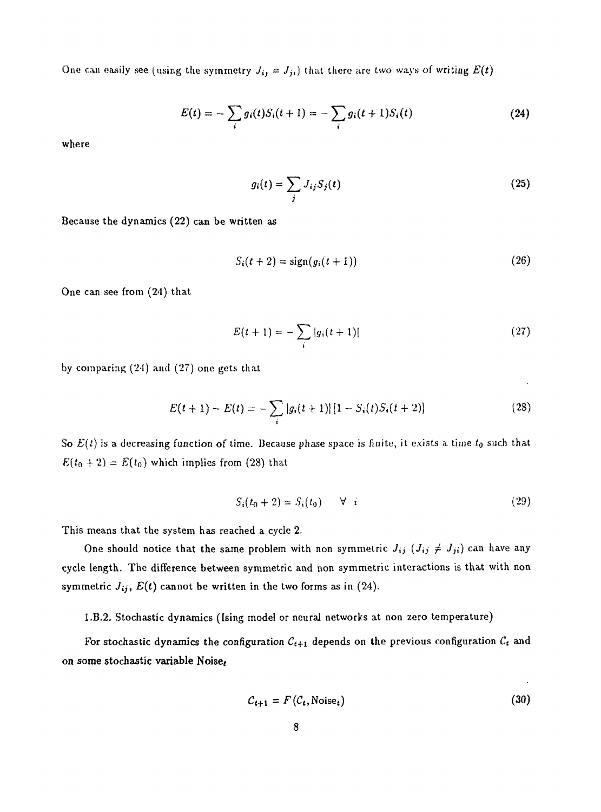One can easily see (using the symmetry  $J_{ij} = J_{ji}$ ) that there are two ways of writing  $E(t)$ 

$$
E(t) = -\sum_{i} g_i(t) S_i(t+1) = -\sum_{i} g_i(t+1) S_i(t)
$$
 (24)

where

$$
g_i(t) = \sum_j J_{ij} S_j(t) \tag{25}
$$

Because the dynamics (22) can be written as

$$
S_i(t+2) = sign(g_i(t+1))
$$
\n(26)

One can see from (24) that

$$
E(t+1) = -\sum_{i} |g_i(t+1)| \tag{27}
$$

by comparing  $(24)$  and  $(27)$  one gets that

$$
E(t+1) - E(t) = -\sum_{i} |g_i(t+1)| [1 - S_i(t)S_i(t+2)] \qquad (28)
$$

So £(t) is a decreasing function of time. Because phase space is finite, it exists a time *t0* such that  $E(t_0 + 2) = E(t_0)$  which implies from (28) that

$$
S_i(t_0+2) = S_i(t_0) \qquad \forall \quad i \tag{29}
$$

This means that the system has reached a cycle 2.

One should notice that the same problem with non symmetric  $J_{ij}$  ( $J_{ij} \neq J_{ji}$ ) can have any cycle length. The difference between symmetric and non symmetric interactions is that with non symmetric  $J_{ij}$ ,  $E(t)$  cannot be written in the two forms as in (24).

l.B.2. Stochastic dynamics (Ising model or neural networks at non zero temperature)

For stochastic dynamics the configuration  $C_{t+1}$  depends on the previous configuration  $C_t$  and on some stochastic variable Noise;

$$
C_{t+1} = F(C_t, \text{Noise}_t) \tag{30}
$$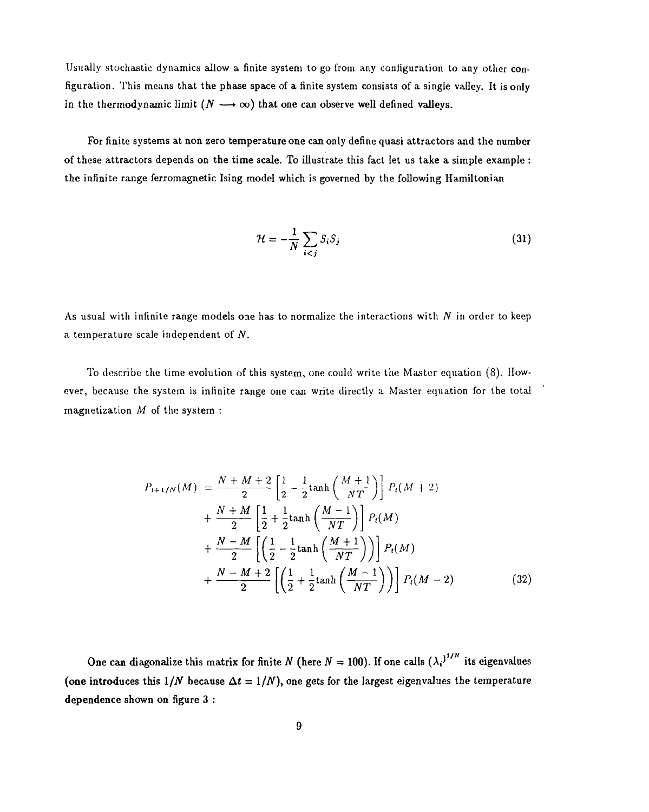Usually stochastic dynamics allow a finite system to go from any configuration to any other configuration. This means that the phase space of a finite system consists of a single valley. It is only in the thermodynamic limit  $(N \longrightarrow \infty)$  that one can observe well defined valleys.

For finite systems at non zero temperature one can only define quasi attractors and the number of these attractors depends on the time scale. To illustrate this fact let us take a simple example : the infinite range ferromagnetic Ising model which is governed by the following Hamiltonian

$$
\mathcal{H} = -\frac{1}{N} \sum_{i < j} S_i S_j \tag{31}
$$

As usual with infinite range models one has to normalize the interactions with *N* in order to keep a temperature scale independent of *N.*

To describe the time evolution of this system, one could write the Master equation (8). However, because the system is infinite range one can write directly a Master equation for the total magnetization *M* of the system :

$$
P_{t+1/N}(M) = \frac{N+M+2}{2} \left[ \frac{1}{2} - \frac{1}{2} \tanh\left(\frac{M+1}{NT}\right) \right] P_t(M+2) + \frac{N+M}{2} \left[ \frac{1}{2} + \frac{1}{2} \tanh\left(\frac{M-1}{NT}\right) \right] P_t(M) + \frac{N-M}{2} \left[ \left( \frac{1}{2} - \frac{1}{2} \tanh\left(\frac{M+1}{NT}\right) \right) \right] P_t(M) + \frac{N-M+2}{2} \left[ \left( \frac{1}{2} + \frac{1}{2} \tanh\left(\frac{M-1}{NT}\right) \right) \right] P_t(M-2)
$$
(32)

One can diagonalize this matrix for finite N (here  $N = 100$ ). If one calls  $(\lambda_i)^{1/N}$  its eigenvalues (one introduces this  $1/N$  because  $\Delta t = 1/N$ ), one gets for the largest eigenvalues the temperature dependence shown on figure 3 :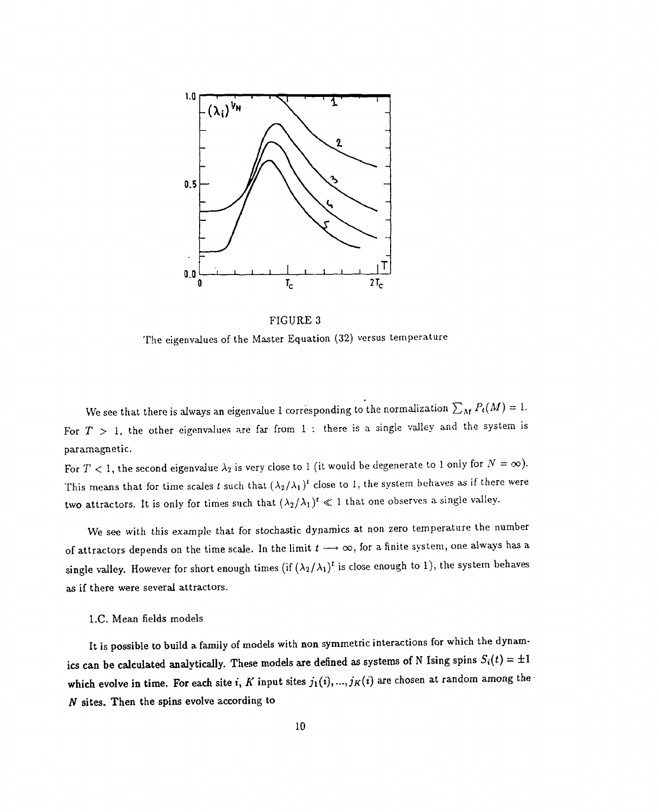

FIGURE 3 The eigenvalues of the Master Equation (32) versus temperature

We see that there is always an eigenvalue 1 corresponding to the normalization  $\sum_M P_t(M) = 1.$ For *T >* 1, the other eigenvalues are far from 1 : there is a single valley and the system is paramagnetic.

For  $T < 1$ , the second eigenvalue  $\lambda_2$  is very close to 1 (it would be degenerate to 1 only for  $N = \infty$ ). This means that for time scales t such that  $(\lambda_2/\lambda_1)^t$  close to 1, the system behaves as if there were two attractors. It is only for times such that  $(\lambda_2/\lambda_1)^t \ll 1$  that one observes a single valley.

We see with this example that for stochastic dynamics at non zero temperature the number of attractors depends on the time scale. In the limit  $t \rightarrow \infty$ , for a finite system, one always has a single valley. However for short enough times (if  $(\lambda_2/\lambda_1)^t$  is close enough to 1), the system behaves as if there were several attractors.

#### l.C. Mean fields models

It is possible to build a family of models with non symmetric interactions for which the dynamics can be calculated analytically. These models are defined as systems of N Ising spins  $S_i(t) = \pm 1$ which evolve in time. For each site i,  $K$  input sites  $j_1(i),...,j_K(i)$  are chosen at random among the *N* sites. Then the spins evolve according to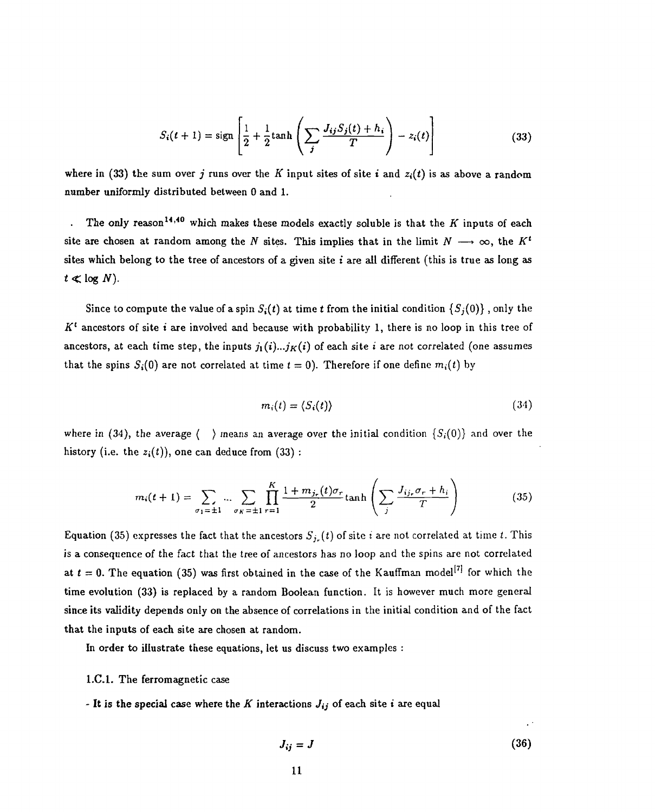$$
S_i(t+1) = \text{sign}\left[\frac{1}{2} + \frac{1}{2}\text{tanh}\left(\sum_j \frac{J_{ij}S_j(t) + h_i}{T}\right) - z_i(t)\right]
$$
(33)

where in (33) the sum over *j* runs over the K input sites of site i and  $z_i(t)$  is as above a random number uniformly distributed between 0 and 1.

. The only reason<sup>14,40</sup> which makes these models exactly soluble is that the  $K$  inputs of each site are chosen at random among the *N* sites. This implies that in the limit  $N \longrightarrow \infty$ , the  $K^t$ sites which belong to the tree of ancestors of a given site  $i$  are all different (this is true as long as  $t \ll \log N$ ).

Since to compute the value of a spin  $S_i(t)$  at time t from the initial condition  $\{S_j(0)\}$ , only the  $K^t$  ancestors of site *i* are involved and because with probability 1, there is no loop in this tree of ancestors, at each time step, the inputs  $j_1(i)...j_K(i)$  of each site i are not correlated (one assumes that the spins  $S_i(0)$  are not correlated at time  $t = 0$ . Therefore if one define  $m_i(t)$  by

$$
m_i(t) = \langle S_i(t) \rangle \tag{34}
$$

where in (34), the average ( ) means an average over the initial condition  $\{S_i(0)\}$  and over the history (i.e. the  $z_i(t)$ ), one can deduce from (33)

the average 
$$
\langle \rangle
$$
 means an average over the initial condition  $\{S_i(0)\}$  and over the   
e  $z_i(t)$ , one can deduce from (33):  

$$
m_i(t+1) = \sum_{\sigma_1 = \pm 1} \dots \sum_{\sigma_K = \pm 1} \prod_{r=1}^K \frac{1 + m_{j_r}(t)\sigma_r}{2} \tanh\left(\sum_j \frac{J_{ij_r}\sigma_r + h_i}{T}\right)
$$
(35)

Equation (35) expresses the fact that the ancestors  $S_{j_r}(t)$  of site *i* are not correlated at time *t*. This is a consequence of the fact that the tree of ancestors has no loop and the spins are not correlated at  $t = 0$ . The equation (35) was first obtained in the case of the Kauffman model<sup>[7]</sup> for which the time evolution (33) is replaced by a random Boolean function. It is however much more general since its validity depends only on the absence of correlations in the initial condition and of the fact that the inputs of each site are chosen at random.

In order to illustrate these equations, let us discuss two examples :

#### I.C.I. The ferromagnetic case

- It is the special case where the  $K$  interactions  $J_{ij}$  of each site i are equal

$$
J_{ij} = J \tag{36}
$$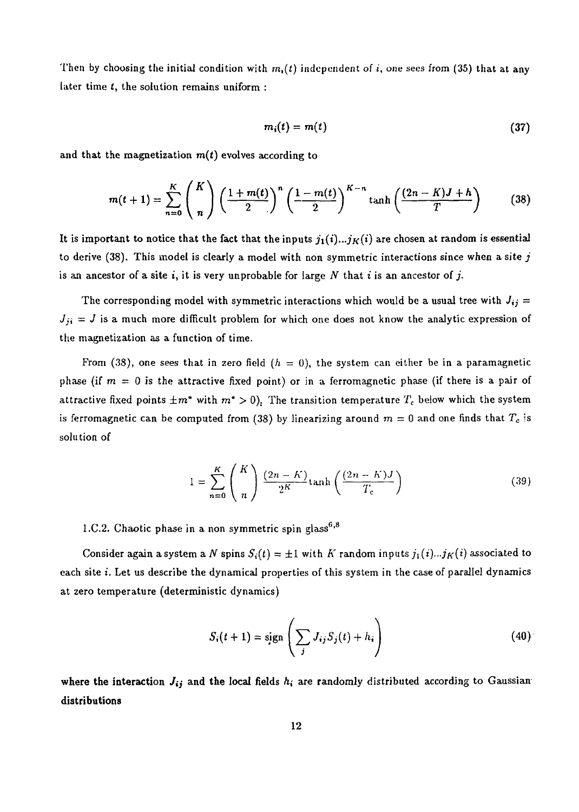Then by choosing the initial condition with  $m_i(t)$  independent of *i*, one sees from (35) that at any later time *t,* the solution remains uniform :

$$
m_i(t) = m(t) \tag{37}
$$

and that the magnetization *m(t)* evolves according to

$$
m(t+1) = \sum_{n=0}^{K} {K \choose n} \left(\frac{1+m(t)}{2}\right)^n \left(\frac{1-m(t)}{2}\right)^{K-n} \tanh\left(\frac{(2n-K)J+h}{T}\right) \tag{38}
$$

It is important to notice that the fact that the inputs  $j_1(i)...j_K(i)$  are chosen at random is essential to derive (38). This model is clearly a model with non symmetric interactions since when a site *j* is an ancestor of a site i, it is very unprobable for large *N* that *i* is an ancestor of *j.*

The corresponding model with symmetric interactions which would be a usual tree with  $J_{ij} =$  $J_{ji} = J$  is a much more difficult problem for which one does not know the analytic expression of the magnetization as a function of time.

From  $(38)$ , one sees that in zero field  $(h = 0)$ , the system can either be in a paramagnetic phase (if  $m = 0$  is the attractive fixed point) or in a ferromagnetic phase (if there is a pair of attractive fixed points  $\pm m^*$  with  $m^* > 0$ ). The transition temperature  $T_c$  below which the system is ferromagnetic can be computed from (38) by linearizing around  $m = 0$  and one finds that  $T_c$  is solution of

$$
1 = \sum_{n=0}^{K} {K \choose n} \frac{(2n-K)}{2^K} \tanh\left(\frac{(2n-K)J}{T_c}\right)
$$
 (39)

1.C.2. Chaotic phase in a non symmetric spin glass<sup>6,8</sup>

Consider again a system a N spins  $S_i(t) = \pm 1$  with  $K$  random inputs  $j_1(i)...j_K(i)$  associated to each site *i*. Let us describe the dynamical properties of this system in the case of parallel dynamics at zero temperature (deterministic dynamics)

$$
S_i(t+1) = sign\left(\sum_j J_{ij} S_j(t) + h_i\right)
$$
\n(40)

where the interaction  $J_{ij}$  and the local fields  $h_i$  are randomly distributed according to Gaussian distributions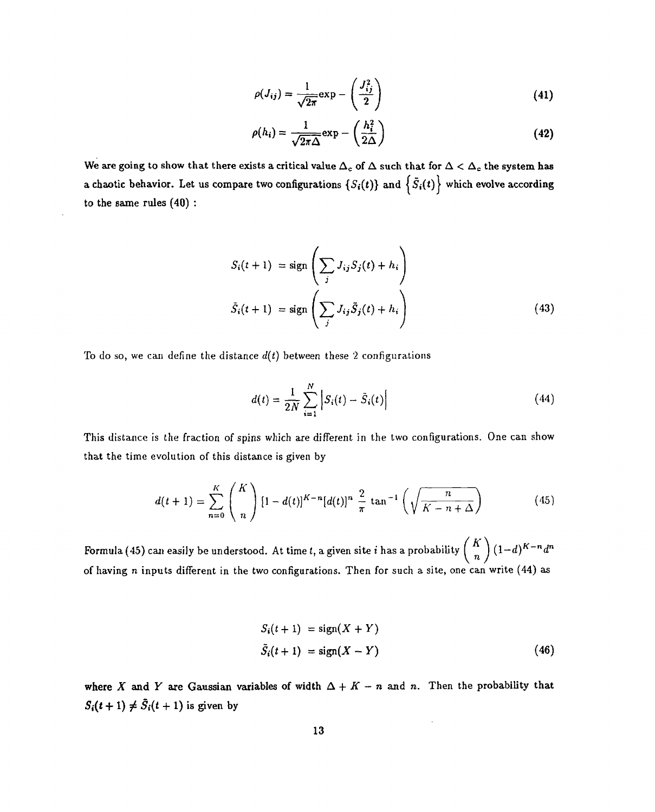$$
\rho(J_{ij}) = \frac{1}{\sqrt{2\pi}} \exp -\left(\frac{J_{ij}^2}{2}\right) \tag{41}
$$

$$
\rho(h_i) = \frac{1}{\sqrt{2\pi\Delta}} \exp -\left(\frac{h_i^2}{2\Delta}\right) \tag{42}
$$

We are going to show that there exists a critical value  $\Delta_c$  of  $\Delta$  such that for  $\Delta < \Delta_c$  the system has a chaotic behavior. Let us compare two configurations  $\{S_i(t)\}$  and  $\{\tilde{S}_i(t)\}$  which evolve according **to the same rules (40) :**

$$
S_i(t+1) = sign\left(\sum_j J_{ij} S_j(t) + h_i\right)
$$
  

$$
\bar{S}_i(t+1) = sign\left(\sum_j J_{ij} \tilde{S}_j(t) + h_i\right)
$$
 (43)

To do so, we can define the distance  $d(t)$  between these 2 configurations

$$
d(t) = \frac{1}{2N} \sum_{i=1}^{N} \left| S_i(t) - \bar{S}_i(t) \right| \tag{44}
$$

This distance is the fraction of spins which are different in the two configurations. One can show that the time evolution of this distance is given by

$$
d(t+1) = \sum_{n=0}^{K} {K \choose n} [1 - d(t)]^{K-n} [d(t)]^n \frac{2}{\pi} \tan^{-1} \left( \sqrt{\frac{n}{K - n + \Delta}} \right)
$$
(45)

 $\binom{K}{n} (1-d)^{K-n} d^n$ of having *n* inputs different in the two configurations. Then for such a site, one can write (44) as

$$
S_i(t+1) = sign(X+Y)
$$
  

$$
\tilde{S}_i(t+1) = sign(X-Y)
$$
 (46)

where X and Y are Gaussian variables of width  $\Delta + K - n$  and n. Then the probability that  $S_i(t + 1) \neq \bar{S}_i(t + 1)$  is given by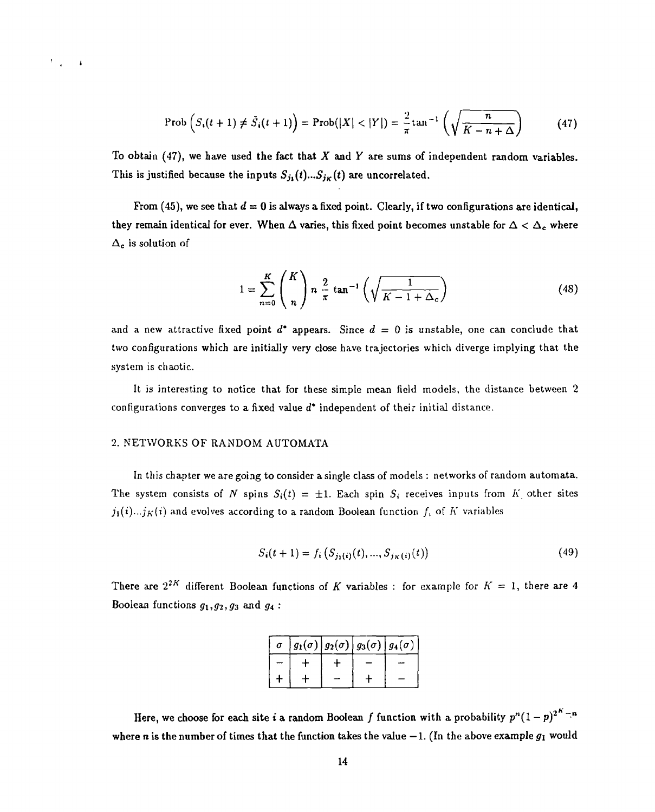$$
\text{Prob}\left(S_i(t+1) \neq \bar{S}_i(t+1)\right) = \text{Prob}(|X| < |Y|) = \frac{2}{\pi} \tan^{-1}\left(\sqrt{\frac{n}{K-n+\Delta}}\right) \tag{47}
$$

To obtain (47), we have used the fact that *X* and *Y* are sums of independent random variables. This is justified because the inputs  $S_{j_1}(t)...S_{j_K}(t)$  are uncorrelated.

From (45), we see that  $d = 0$  is always a fixed point. Clearly, if two configurations are identical, they remain identical for ever. When  $\Delta$  varies, this fixed point becomes unstable for  $\Delta < \Delta_c$  where  $\Delta_c$  is solution of

$$
1 = \sum_{n=0}^{K} {K \choose n} n \frac{2}{\pi} \tan^{-1} \left( \sqrt{\frac{1}{K - 1 + \Delta_c}} \right) \tag{48}
$$

and a new attractive fixed point  $d^*$  appears. Since  $d = 0$  is unstable, one can conclude that two configurations which are initially very close have trajectories which diverge implying that the system is chaotic.

It is interesting to notice that for these simple mean field models, the distance between 2 configurations converges to a fixed value *d'* independent of their initial distance.

#### 2. NETWORKS OF RANDOM AUTOMATA

 $\mathcal{F}_{\mathcal{A}}$  $\overline{\phantom{a}}$ 

> In this chapter we are going to consider a single class of models : networks of random automata. The system consists of N spins  $S_i(t) = \pm 1$ . Each spin  $S_i$  receives inputs from K other sites  $j_1(i)...j_K(i)$  and evolves according to a random Boolean function  $f_i$  of  $K$  variables

$$
S_i(t+1) = f_i\left(S_{j_1(i)}(t), \dots, S_{j_K(i)}(t)\right) \tag{49}
$$

There are  $2^{2K}$  different Boolean functions of *K* variables : for example for  $K = 1$ , there are 4 Boolean functions  $g_1, g_2, g_3$  and  $g_4$ :

| σ |  | $g_1(\sigma)   g_2(\sigma)   g_3(\sigma)   g_4(\sigma)$ |  |
|---|--|---------------------------------------------------------|--|
|   |  |                                                         |  |
|   |  |                                                         |  |

Here, we choose for each site  $i$  a random Boolean  $f$  function with a probability  $p^n(1-p)^{2^K-n}$ where *n* is the number of times that the function takes the value  $-1$ . (In the above example  $g_1$  would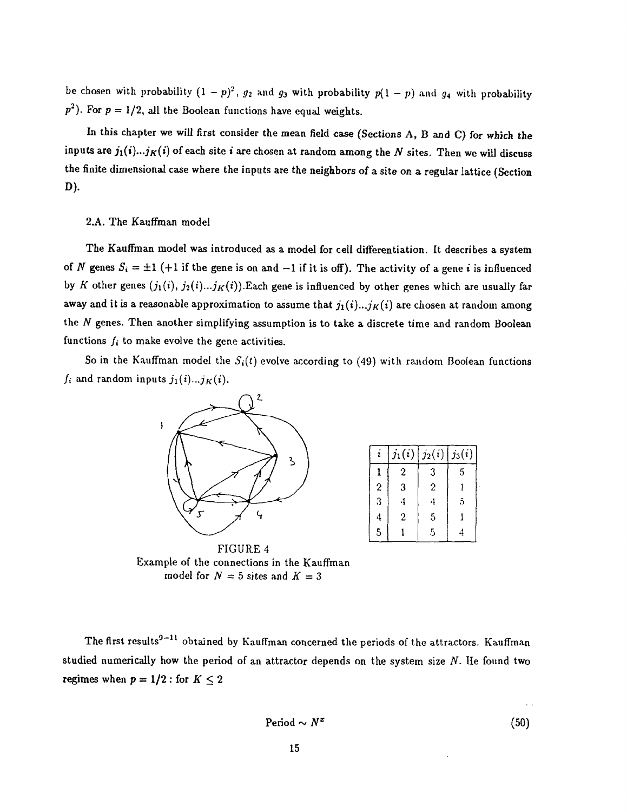be chosen with probability  $(1 - p)^2$ ,  $g_2$  and  $g_3$  with probability  $p(1 - p)$  and  $g_4$  with probability  $p<sup>2</sup>$ ). For  $p = 1/2$ , all the Boolean functions have equal weights.

In this chapter we will first consider the mean field case (Sections A, B and C) for which the inputs are  $j_1(i)...j_K(i)$  of each site i are chosen at random among the N sites. Then we will discuss the finite dimensional case where the inputs are the neighbors of a site on a regular lattice (Section D).

#### 2.A. The Kauffman model

The Kauffman model was introduced as a model for cell differentiation. It describes a system of *N* genes  $S_i = \pm 1$  (+1 if the gene is on and -1 if it is off). The activity of a gene *i* is influenced by K other genes  $(j_1(i), j_2(i)...j_K(i))$ . Each gene is influenced by other genes which are usually far away and it is a reasonable approximation to assume that  $j_1(i)...j_K(i)$  are chosen at random among the *N* genes. Then another simplifying assumption is to take a discrete time and random Boolean functions  $f_i$  to make evolve the gene activities.

So in the Kauffman model the  $S_i(t)$  evolve according to (49) with random Boolean functions  $f_i$  and random inputs  $j_1(i)...j_K(i)$ .



|                  | $j_1(i)$         | $j_2(i)$ | $\mid$ $j_3(i)$ |  |
|------------------|------------------|----------|-----------------|--|
|                  | 2                | 3        | 5               |  |
| $\boldsymbol{2}$ | 3                | 2        |                 |  |
| 3                |                  |          | 5               |  |
| 4                | $\boldsymbol{2}$ | 5        |                 |  |
| 5                |                  | 5        |                 |  |

FIGURE 4 Example of the connections in the Kauffman model for  $N = 5$  sites and  $K = 3$ 

The first results $^{9-11}$  obtained by Kauffman concerned the periods of the attractors. Kauffman studied numerically how the period of an attractor depends on the system size *N.* He found two regimes when  $p = 1/2$ : for  $K \le 2$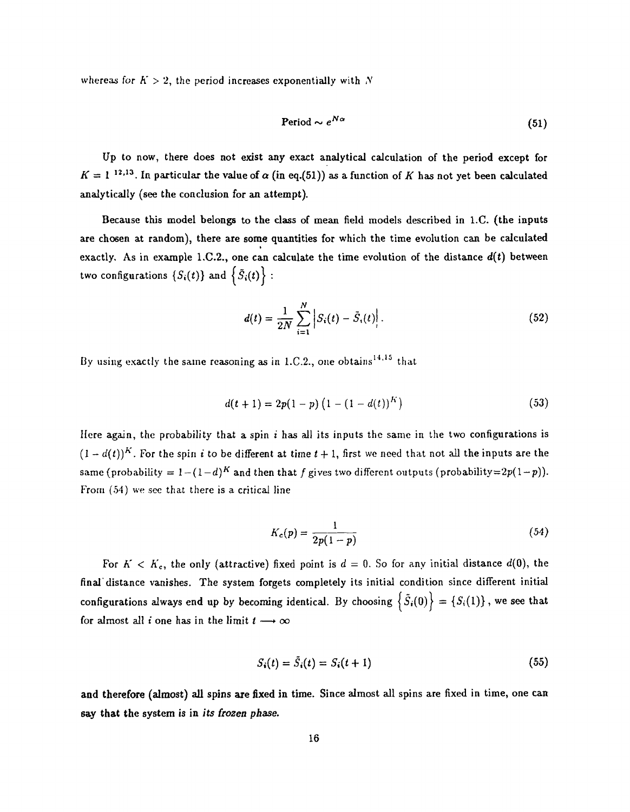whereas for  $K > 2$ , the period increases exponentially with N

$$
Period \sim e^{N\alpha} \tag{51}
$$

Up to now, there does not exist any exact analytical calculation of the period except for  $K = 1^{-12,13}$ . In particular the value of  $\alpha$  (in eq.(51)) as a function of *K* has not yet been calculated analytically (see the conclusion for an attempt).

Because this model belongs to the class of mean field models described in l.C. (the inputs are chosen at random), there are some quantities for which the time evolution can be calculated exactly. As in example 1.C.2., one can calculate the time evolution of the distance  $d(t)$  between two configurations  $\{S_i(t)\}$  and  $\{S_i(t)\}$ :

$$
d(t) = \frac{1}{2N} \sum_{i=1}^{N} \left| S_i(t) - \bar{S}_i(t) \right|.
$$
 (52)

By using exactly the same reasoning as in 1.C.2., one obtains<sup>14,15</sup> that

$$
d(t+1) = 2p(1-p)\left(1 - (1 - d(t))^K\right) \tag{53}
$$

Here again, the probability that a spin : has all its inputs the same in the two configurations is  $(1 - d(t))^K$ . For the spin *i* to be different at time  $t + 1$ , first we need that not all the inputs are the same (probability  $= 1 - (1-d)^K$  and then that f gives two different outputs (probability=2p(1-p)). From (54) we see that there is a critical line

$$
K_c(p) = \frac{1}{2p(1-p)}\tag{54}
$$

For  $K < K_c$ , the only (attractive) fixed point is  $d = 0$ . So for any initial distance  $d(0)$ , the final distance vanishes. The system forgets completely its initial condition since different initial configurations always end up by becoming identical. By choosing  $\{\tilde{S}_i(0)\} = \{S_i(1)\}\$ , we see that for almost all *i* one has in the limit  $t \rightarrow \infty$ 

$$
S_i(t) = \tilde{S}_i(t) = S_i(t+1)
$$
\n(55)

and therefore (almost) all spins are fixed in time. Since almost all spins are fixed in time, one can say that the system is in *its frozen phase.*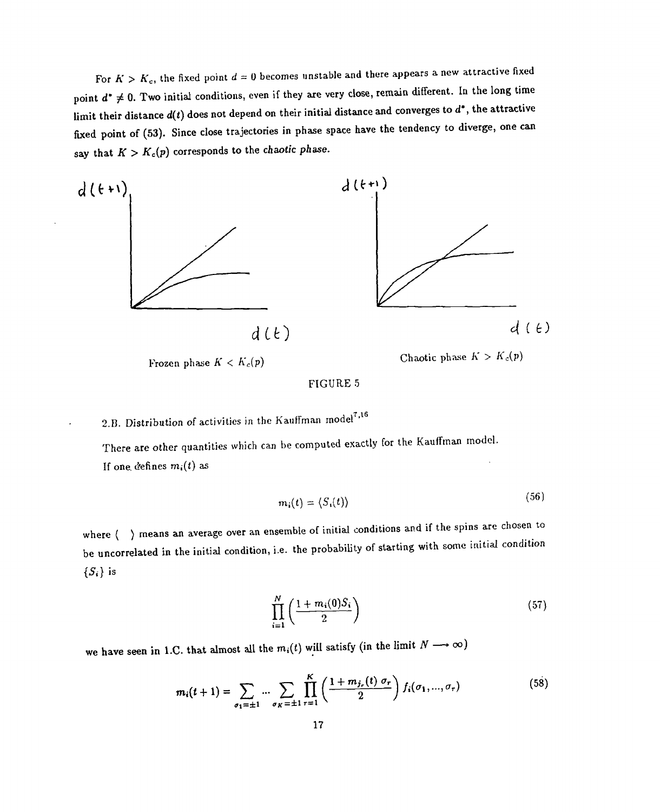For  $K > K_c$ , the fixed point  $d = 0$  becomes unstable and there appears a new attractive fixed point  $d^* \neq 0$ . Two initial conditions, even if they are very close, remain different. In the long time limit their distance *d(t)* does not depend on their initial distance and converges to *d',* the attractive fixed point of (53). Since close trajectories in phase space have the tendency to diverge, one can say that  $K > K_c(p)$  corresponds to the *chaotic phase*.



# 2.B. Distribution of activities in the Kauffman model<sup>7,16</sup>

There are other quantities which can be computed exactly for the Kauffman model. If one defines  $m_i(t)$  as

$$
m_i(t) = \langle S_i(t) \rangle \tag{56}
$$

where  $\langle \rangle$  means an average over an ensemble of initial conditions and if the spins are chosen to be uncorrelated in the initial condition, i.e. the probability of starting with some initial condition *{Si}* is

$$
\prod_{i=1}^{N} \left( \frac{1 + m_i(0)S_i}{2} \right) \tag{57}
$$

we have seen in 1.C. that almost all the  $m_i(t)$  will satisfy (in the limit  $N \longrightarrow \infty$ )

$$
m_i(t+1) = \sum_{\sigma_1 = \pm 1} \dots \sum_{\sigma_K = \pm 1} \prod_{r=1}^K \left( \frac{1 + m_{j_r}(t) \sigma_r}{2} \right) f_i(\sigma_1, ..., \sigma_r)
$$
(58)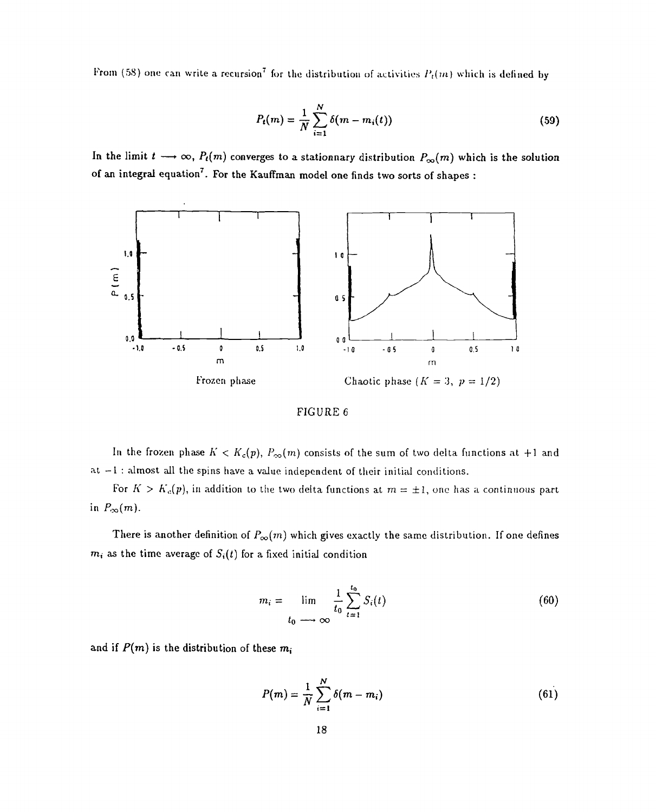From (58) one can write a recursion<sup>7</sup> for the distribution of activities  $P_t(m)$  which is defined by

$$
P_t(m) = \frac{1}{N} \sum_{i=1}^{N} \delta(m - m_i(t))
$$
\n(59)

In the limit  $t \longrightarrow \infty$ ,  $P_t(m)$  converges to a stationnary distribution  $P_{\infty}(m)$  which is the solution of an integral equation<sup>7</sup>. For the Kauffman model one finds two sorts of shapes :





In the frozen phase  $K < K_c(p)$ ,  $P_{\infty}(m)$  consists of the sum of two delta functions at +1 and at  $-1$ : almost all the spins have a value independent of their initial conditions.

For  $K > K_c(p)$ , in addition to the two delta functions at  $m = \pm 1$ , one has a continuous part in  $P_{\infty}(m)$ .

There is another definition of  $P_{\infty}(m)$  which gives exactly the same distribution. If one defines  $m_i$  as the time average of  $S_i(t)$  for a fixed initial condition

$$
m_i = \lim_{t_0 \to \infty} \frac{1}{t_0} \sum_{t=1}^{t_0} S_i(t)
$$
 (60)

and if  $P(m)$  is the distribution of these  $m_i$ 

$$
P(m) = \frac{1}{N} \sum_{i=1}^{N} \delta(m - m_i)
$$
 (61)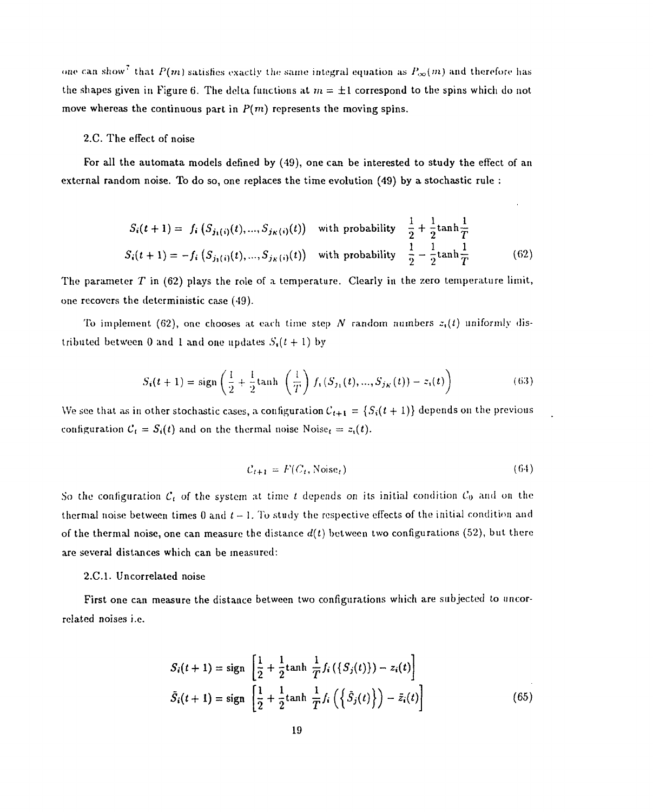one can show<sup>7</sup> that  $P(m)$  satisfies exactly the same integral equation as  $P_{\infty}(m)$  and therefore has the shapes given in Figure 6. The delta functions at  $m = \pm 1$  correspond to the spins which do not move whereas the continuous part in  $P(m)$  represents the moving spins.

#### 2.C. The effect of noise

For all the automata models defined by (49), one can be interested to study the effect of an external random noise. To do so, one replaces the time evolution (49) by a stochastic rule :

$$
S_i(t+1) = f_i(S_{j_1(i)}(t), ..., S_{j_K(i)}(t)) \text{ with probability } \frac{1}{2} + \frac{1}{2}\tanh\frac{1}{T}
$$
  

$$
S_i(t+1) = -f_i(S_{j_1(i)}(t), ..., S_{j_K(i)}(t)) \text{ with probability } \frac{1}{2} - \frac{1}{2}\tanh\frac{1}{T}
$$
 (62)

The parameter *T* in (62) plays the role of a temperature. Clearly in the zero temperature limit, one recovers the deterministic case (49).

To implement (62), one chooses at each time step N random numbers  $z<sub>i</sub>(t)$  uniformly distributed between 0 and 1 and one updates  $S_t(t+1)$  by

$$
S_i(t+1) = sign\left(\frac{1}{2} + \frac{1}{2}\tanh\left(\frac{1}{T}\right)f_i(S_{j_1}(t),...,S_{j_K}(t)) - z_i(t)\right)
$$
(63)

We see that as in other stochastic cases, a configuration  $C_{t+1} = \{S_i(t+1)\}\$  depends on the previous configuration  $C_t = S_t(t)$  and on the thermal noise  $N$ oise<sub>t</sub> =  $z_i(t)$ .

$$
C_{t+1} = F(C_t, \text{Noise}_t) \tag{64}
$$

So the configuration  $\mathcal{C}_t$  of the system at time  $t$  depends on its initial condition  $\mathcal{C}_0$  and on the thermal noise between times  $0$  and  $t-1$ . To study the respective effects of the initial condition and of the thermal noise, one can measure the distance  $d(t)$  between two configurations (52), but there are several distances which can be measured:

#### 2.C.I. Uncorrelated noise

First one can measure the distance between two configurations which are subjected to uncorrelated noises i.e.

$$
S_i(t+1) = \text{sign}\left[\frac{1}{2} + \frac{1}{2}\text{tanh}\frac{1}{T}f_i(\{S_j(t)\}) - z_i(t)\right]
$$
  

$$
\tilde{S}_i(t+1) = \text{sign}\left[\frac{1}{2} + \frac{1}{2}\text{tanh}\frac{1}{T}f_i(\{\tilde{S}_j(t)\}) - \tilde{z}_i(t)\right]
$$
(65)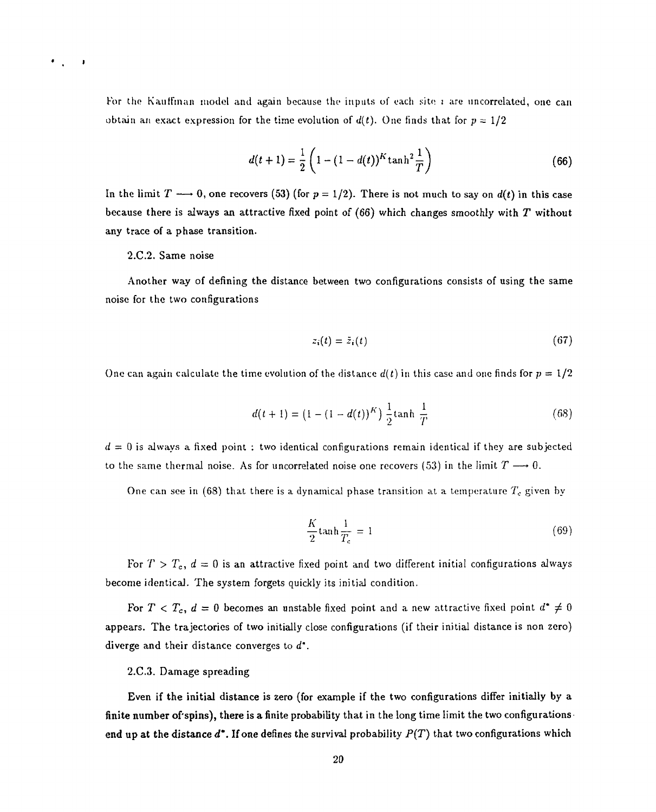For the K auffman model and again because the inputs of each site  $i$  are uncorrelated, one can obtain an exact expression for the time evolution of  $d(t)$ . One finds that for  $p = 1/2$ 

$$
d(t+1) = \frac{1}{2} \left( 1 - (1 - d(t))^{K} \tanh^{2} \frac{1}{T} \right)
$$
 (66)

In the limit  $T \longrightarrow 0$ , one recovers (53) (for  $p = 1/2$ ). There is not much to say on  $d(t)$  in this case because there is always an attractive fixed point of (66) which changes smoothly with *T* without any trace of a phase transition.

#### 2.C.2. Same noise

 $\mathbf{I}$ 

Another way of defining the distance between two configurations consists of using the same noise for the two configurations

$$
z_i(t) = \bar{z}_i(t) \tag{67}
$$

One can again calculate the time evolution of the distance  $d(t)$  in this case and one finds for  $p = 1/2$ 

$$
d(t+1) = (1 - (1 - d(t))^{K}) \frac{1}{2} \tanh \frac{1}{T}
$$
 (68)

*d —* 0 is always a fixed point : two identical configurations remain identical if they are subjected to the same thermal noise. As for uncorrelated noise one recovers (53) in the limit  $T \longrightarrow 0$ .

One can see in (68) that there is a dynamical phase transition at a temperature *Tc* given by

$$
\frac{K}{2}\tanh\frac{1}{T_c} = 1\tag{69}
$$

For  $T > T_c$ ,  $d = 0$  is an attractive fixed point and two different initial configurations always become identical. The system forgets quickly its initial condition.

For  $T < T_c$ ,  $d = 0$  becomes an unstable fixed point and a new attractive fixed point  $d^* \neq 0$ appears. The trajectories of two initially close configurations (if their initial distance is non zero) diverge and their distance converges to *d'.*

#### 2.C.3. Damage spreading

Even if the initial distance is zero (for example if the two configurations differ initially by a finite number of'spins), there is a finite probability that in the long time limit the two configurations end up at the distance  $d^*$ . If one defines the survival probability  $P(T)$  that two configurations which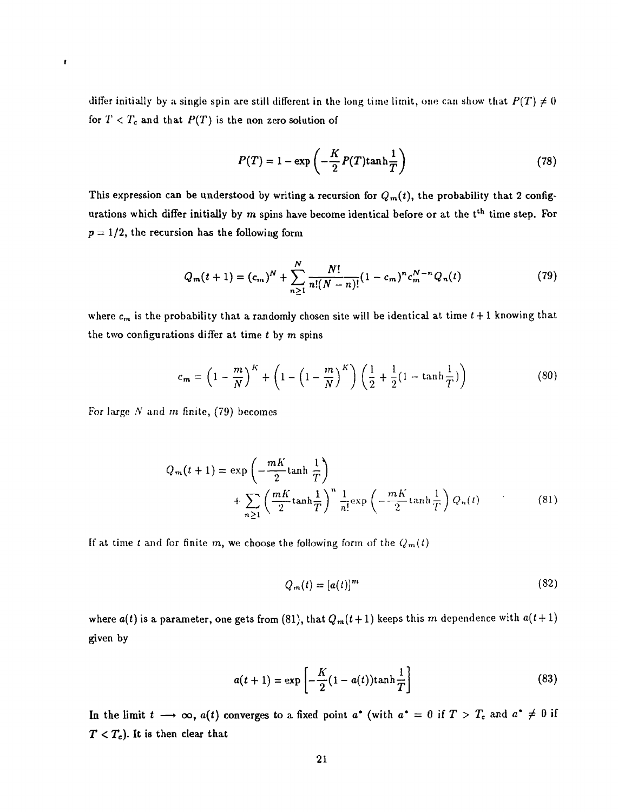differ initially by a single spin are still different in the long time limit, one can show that  $P(T) \neq 0$ for  $T < T_c$  and that  $P(T)$  is the non zero solution of

$$
P(T) = 1 - \exp\left(-\frac{K}{2}P(T)\tanh\frac{1}{T}\right)
$$
 (78)

This expression can be understood by writing a recursion for  $Q_m(t)$ , the probability that 2 configurations which differ initially by m spins have become identical before or at the t<sup>th</sup> time step. For  $p = 1/2$ , the recursion has the following form

$$
Q_m(t+1) = (c_m)^N + \sum_{n\geq 1}^N \frac{N!}{n!(N-n)!} (1-c_m)^n c_m^{N-n} Q_n(t)
$$
 (79)

where  $c_m$  is the probability that a randomly chosen site will be identical at time  $t + 1$  knowing that the two configurations differ at time *t* by m spins

$$
c_m = \left(1 - \frac{m}{N}\right)^K + \left(1 - \left(1 - \frac{m}{N}\right)^K\right) \left(\frac{1}{2} + \frac{1}{2}(1 - \tanh\frac{1}{T})\right)
$$
(80)

For large .V and *m* finite, (79) becomes

 $\pmb{\mathbf{r}}$ 

$$
Q_m(t+1) = \exp\left(-\frac{mK}{2}\tanh\frac{1}{T}\right)
$$
  
+ 
$$
\sum_{n\geq 1} \left(\frac{mK}{2}\tanh\frac{1}{T}\right)^n \frac{1}{n!} \exp\left(-\frac{mK}{2}\tanh\frac{1}{T}\right) Q_n(t)
$$
 (81)

If at time *t* and for finite m, we choose the following form of the  $Q_m(t)$ 

$$
Q_m(t) = [a(t)]^m \tag{82}
$$

where  $a(t)$  is a parameter, one gets from (81), that  $Q_m(t+1)$  keeps this m dependence with  $a(t+1)$ given by

$$
a(t+1) = \exp\left[-\frac{K}{2}(1-a(t))\tanh\frac{1}{T}\right]
$$
\n(83)

In the limit  $t \longrightarrow \infty$ ,  $a(t)$  converges to a fixed point  $a^*$  (with  $a^* = 0$  if  $T > T_c$  and  $a^* \neq 0$  if  $T < T_c$ ). It is then clear that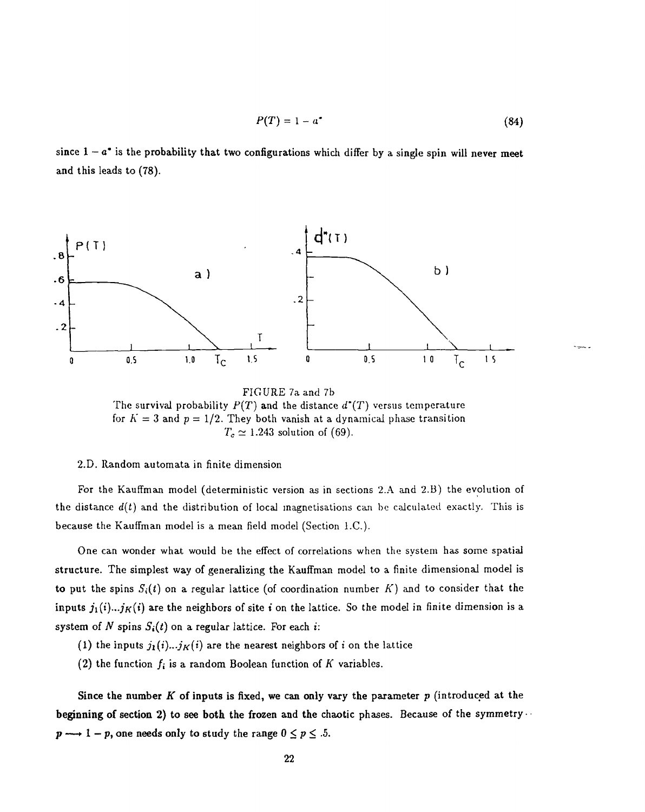$$
P(T) = 1 - a^* \tag{84}
$$

since  $1 - a^*$  is the probability that two configurations which differ by a single spin will never meet and this leads to (78).



FIGURE 7aand 7b The survival probability  $P(T)$  and the distance  $d^{*}(T)$  versus temperature for  $K = 3$  and  $p = 1/2$ . They both vanish at a dynamical phase transition  $T_c \simeq 1.243$  solution of (69).

#### 2.D. Random automata in finite dimension

For the Kauffman model (deterministic version as in sections 2.A and 2.B) the evolution of the distance  $d(t)$  and the distribution of local magnetisations can be calculated exactly. This is because the Kauffman model is a mean field model (Section I.C.).

One can wonder what would be the effect of correlations when the system has some spatial structure. The simplest way of generalizing the Kauffman model to a finite dimensional model is to put the spins  $S_i(t)$  on a regular lattice (of coordination number  $K$ ) and to consider that the inputs  $j_1(i)...j_K(i)$  are the neighbors of site *i* on the lattice. So the model in finite dimension is a system of N spins  $S_i(t)$  on a regular lattice. For each i:

- (1) the inputs  $j_1(i)...j_K(i)$  are the nearest neighbors of *i* on the lattice
- (2) the function  $f_i$  is a random Boolean function of  $K$  variables.

Since the number *K* of inputs is fixed, we can only vary the parameter *p* (introduced at the beginning of section 2) to see both the frozen and the chaotic phases. Because of the symmetry  $\cdots$  $p \longrightarrow 1-p$ , one needs only to study the range  $0 \le p \le .5$ .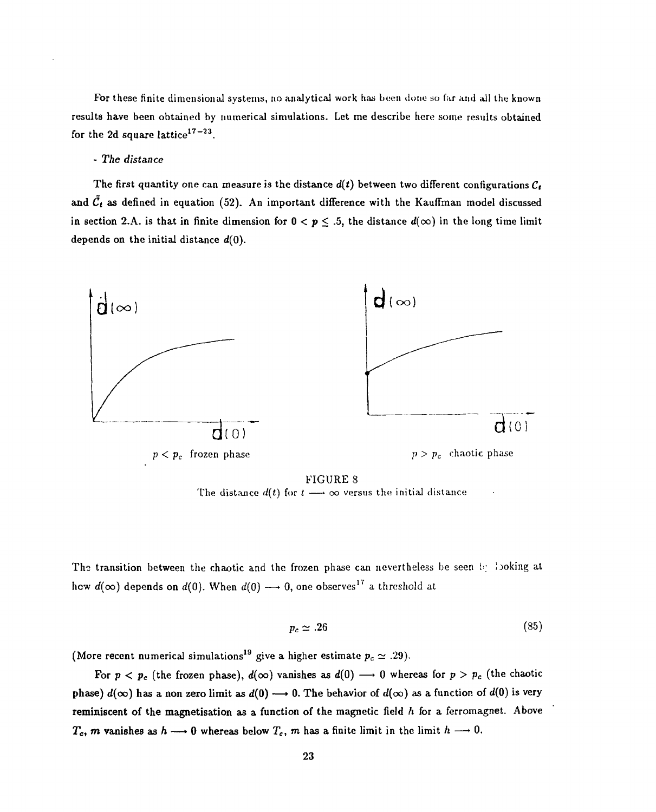For these finite dimensional systems, no analytical work has been done so far and all the known results have been obtained by numerical simulations. Let me describe here some results obtained for the 2d square lattice $17-23$ .

#### - *The distance*

The first quantity one can measure is the distance  $d(t)$  between two different configurations  $C_t$ and  $\tilde{C}_t$  as defined in equation (52). An important difference with the Kauffman model discussed in section 2.A. is that in finite dimension for  $0 < p \le .5$ , the distance  $d(\infty)$  in the long time limit depends on the initial distance *d(0).*



FIGURE 8 The distance  $d(t)$  for  $t \longrightarrow \infty$  versus the initial distance

The transition between the chaotic and the frozen phase can nevertheless be seen by looking at hew  $d(\infty)$  depends on  $d(0).$  When  $d(0) \longrightarrow 0,$  one observes<sup>17</sup> a threshold at

$$
p_c \simeq .26 \tag{85}
$$

(More recent numerical simulations<sup>19</sup> give a higher estimate  $p_c\simeq .29).$ 

For  $p < p_c$  (the frozen phase),  $d(\infty)$  vanishes as  $d(0) \longrightarrow 0$  whereas for  $p > p_c$  (the chaotic phase)  $d(\infty)$  has a non zero limit as  $d(0) \longrightarrow 0$ . The behavior of  $d(\infty)$  as a function of  $d(0)$  is very reminiscent of the magnetisation as a function of the magnetic field *h* for a ferromagnet. Above  $T_c$ , *m* vanishes as  $h \rightarrow 0$  whereas below  $T_c$ , *m* has a finite limit in the limit  $h \rightarrow 0$ .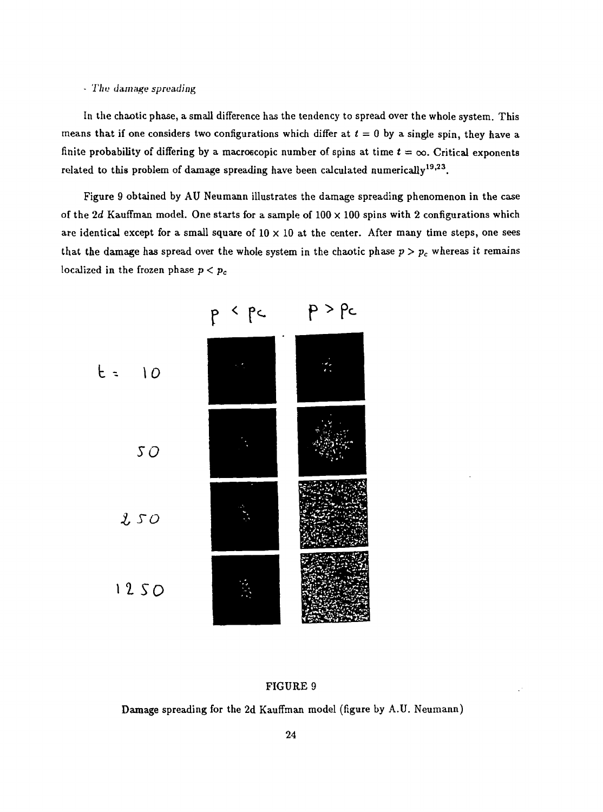#### - *Tlit: damage spreading*

In the chaotic phase, a small difference has the tendency to spread over the whole system. This means that if one considers two configurations which differ at  $t = 0$  by a single spin, they have a finite probability of differing by a macroscopic number of spins at time  $t = \infty$ . Critical exponents related to this problem of damage spreading have been calculated numerically $^{19,23}.$ 

Figure 9 obtained by AU Neumann illustrates the damage spreading phenomenon in the case of the 2d Kauffman model. One starts for a sample of  $100 \times 100$  spins with 2 configurations which are identical except for a small square of  $10 \times 10$  at the center. After many time steps, one sees that the damage has spread over the whole system in the chaotic phase  $p > p_c$  whereas it remains localized in the frozen phase *p < p<sup>c</sup>*



#### FIGURE 9

Damage spreading for the 2d Kauffman model (figure by A.U. Neumann)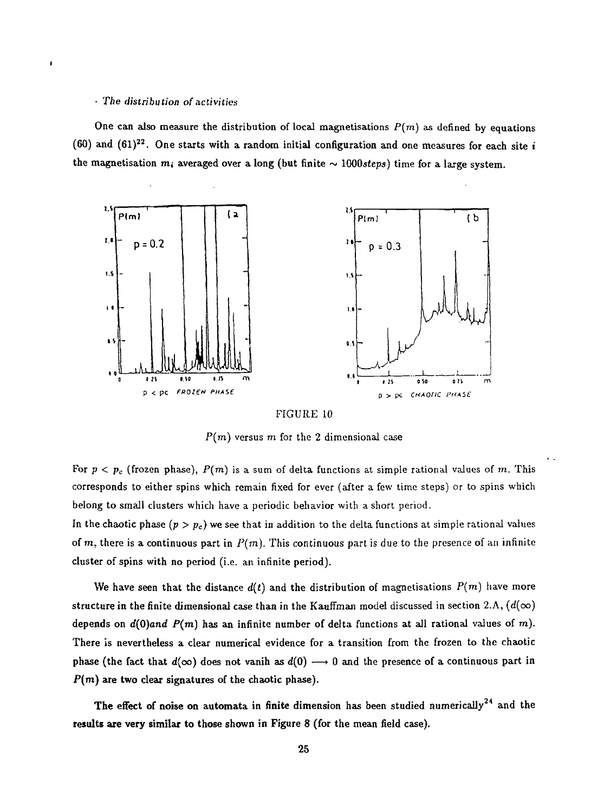#### - *The distribution of activities*

One can also measure the distribution of local magnetisations  $P(m)$  as defined by equations (60) and (61)<sup>22</sup>. One starts with a random initial configuration and one measures for each site *i* the magnetisation  $m_i$  averaged over a long (but finite  $\sim 1000$ steps) time for a large system.





P(m) versus *m* for the 2 dimensional case

For  $p < p_c$  (frozen phase),  $P(m)$  is a sum of delta functions at simple rational values of m. This corresponds to either spins which remain fixed for ever (after a few time steps) or to spins which belong to small clusters which have a periodic behavior with a short period.

In the chaotic phase  $(p > p_c)$  we see that in addition to the delta functions at simple rational values of m, there is a continuous part in  $P(m)$ . This continuous part is due to the presence of an infinite cluster of spins with no period (i.e. an infinite period).

We have seen that the distance  $d(t)$  and the distribution of magnetisations  $P(m)$  have more structure in the finite dimensional case than in the Kauffman model discussed in section 2.A,  $(d(\infty))$ depends on *d(0)and P(m)* has an infinite number of delta functions at all rational values of m). There is nevertheless a clear numerical evidence for a transition from the frozen to the chaotic phase (the fact that  $d(\infty)$  does not vanih as  $d(0) \longrightarrow 0$  and the presence of a continuous part in  $P(m)$  are two clear signatures of the chaotic phase).

**The effect of noise on automata in finite dimension has been studied numerically <sup>4</sup> and the results are very similar to those shown in Figure 8 (for the mean field case).**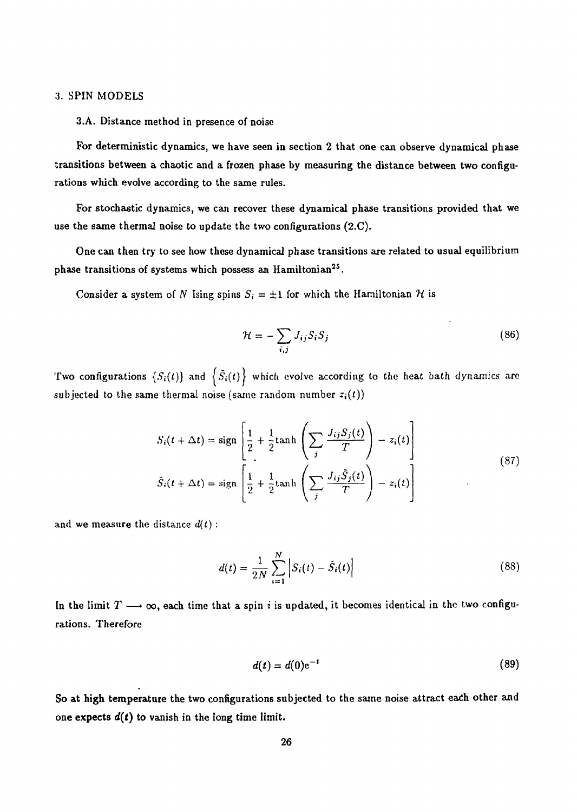#### 3. SPIN MODELS

#### 3.A. Distance method in presence of noise

For deterministic dynamics, we have seen in section 2 that one can observe dynamical phase transitions between a chaotic and a frozen phase by measuring the distance between two configurations which evolve according to the same rules.

For stochastic dynamics, we can recover these dynamical phase transitions provided that we use the same thermal noise to update the two configurations (2.C).

One can then try to see how these dynamical phase transitions are related to usual equilibrium phase transitions of systems which possess an Hamiltonian<sup>25</sup>.

Consider a system of N Ising spins  $S_i = \pm 1$  for which the Hamiltonian H is

$$
\mathcal{H} = -\sum_{i,j} J_{ij} S_i S_j \tag{86}
$$

Two configurations  $\{S_i(t)\}$  and  $\{\tilde{S}_i(t)\}$  which evolve according to the heat bath dynamics are subjected to the same thermal noise (same random number  $z_i(t)$ )

$$
S_i(t + \Delta t) = \text{sign}\left[\frac{1}{2} + \frac{1}{2}\text{tanh}\left(\sum_j \frac{J_{ij}S_j(t)}{T}\right) - z_i(t)\right]
$$
  

$$
\tilde{S}_i(t + \Delta t) = \text{sign}\left[\frac{1}{2} + \frac{1}{2}\text{tanh}\left(\sum_j \frac{J_{ij}\tilde{S}_j(t)}{T}\right) - z_i(t)\right]
$$
(87)

and we measure the distance *d(t) :*

$$
d(t) = \frac{1}{2N} \sum_{i=1}^{N} \left| S_i(t) - \bar{S}_i(t) \right| \tag{88}
$$

In the limit  $T \longrightarrow \infty$ , each time that a spin *i* is updated, it becomes identical in the two configurations. Therefore

$$
d(t) = d(0)e^{-t} \tag{89}
$$

So at high temperature the two configurations subjected to the same noise attract eadi other and one expects  $d(t)$  to vanish in the long time limit.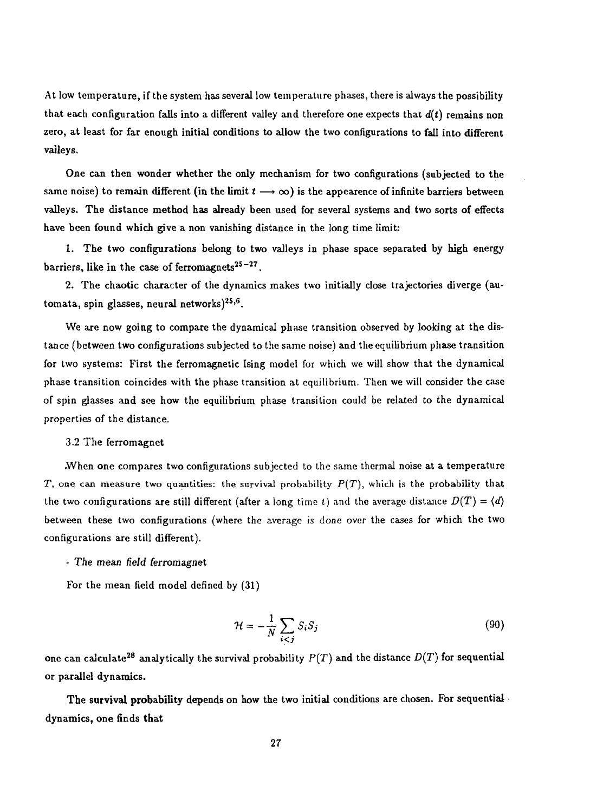At low temperature, if the system has several low temperature phases, there is always the possibility that each configuration falls into a different valley and therefore one expects that  $d(t)$  remains non zero, at least for far enough initial conditions to allow the two configurations to fall into different valleys.

One can then wonder whether the only mechanism for two configurations (subjected to the same noise) to remain different (in the limit  $t \rightarrow \infty$ ) is the appearence of infinite barriers between valleys. The distance method has already been used for several systems and two sorts of effects have been found which give a non vanishing distance in the long time limit:

1. The two configurations belong to two valleys in phase space separated by high energy barriers, like in the case of ferromagnets $^{25-27}$ .

2. The chaotic character of the dynamics makes two initially close trajectories diverge (automata, spin glasses, neural networks)<sup>25,6</sup>.

We are now going to compare the dynamical phase transition observed by looking at the distance (between two configurations subjected to the same noise) and the equilibrium phase transition for two systems: First the ferromagnetic Ising model for which we will show that the dynamical phase transition coincides with the phase transition at equilibrium. Then we will consider the case of spin glasses and see how the equilibrium phase transition could be related to the dynamical properties of the distance.

#### 3.2 The ferromagnet

.When one compares two configurations subjected to the same thermal noise at a temperature *T*, one can measure two quantities: the survival probability  $P(T)$ , which is the probability that the two configurations are still different (after a long time t) and the average distance  $D(T) = \langle d \rangle$ between these two configurations (where the average is done over the cases for which the two configurations are still different).

#### - The mean field ferromagnet

For the mean field model defined by (31)

$$
\mathcal{H} = -\frac{1}{N} \sum_{i < j} S_i S_j \tag{90}
$$

one can calculate<sup>28</sup> analytically the survival probability  $P(T)$  and the distance  $D(T)$  for sequential or parallel dynamics.

The survival probability depends on how the two initial conditions are chosen. For sequential dynamics, one finds that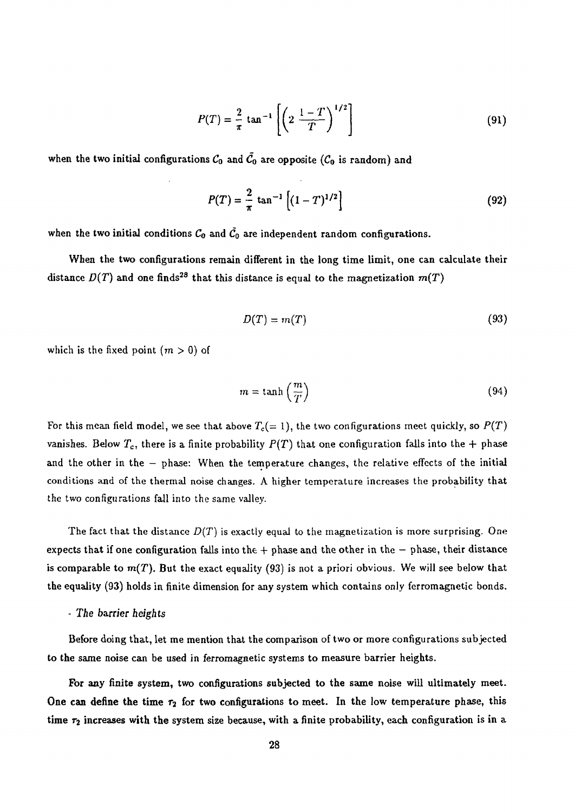$$
P(T) = \frac{2}{\pi} \tan^{-1} \left[ \left( 2 \frac{1 - T}{T} \right)^{1/2} \right]
$$
 (91)

when the two initial configurations  $C_0$  and  $\tilde{C_0}$  are opposite ( $C_0$  is random) and

$$
P(T) = \frac{2}{\pi} \tan^{-1} \left[ (1 - T)^{1/2} \right] \tag{92}
$$

when the two initial conditions  $C_0$  and  $\tilde{C}_0$  are independent random configurations.

When the two configurations remain different in the long time limit, one can calculate their distance  $D(T)$  and one finds<sup>28</sup> that this distance is equal to the magnetization  $m(T)$ 

$$
D(T) = m(T) \tag{93}
$$

which is the fixed point  $(m > 0)$  of

$$
m = \tanh\left(\frac{m}{T}\right) \tag{94}
$$

For this mean field model, we see that above  $T_c(=1)$ , the two configurations meet quickly, so  $P(T)$ vanishes. Below  $T_c$ , there is a finite probability  $P(T)$  that one configuration falls into the + phase and the other in the - phase: When the temperature changes, the relative effects of the initial conditions and of the thermal noise changes. A higher temperature increases the probability that the two configurations fall into the same valley.

The fact that the distance  $D(T)$  is exactly equal to the magnetization is more surprising. One expects that if one configuration falls into the  $+$  phase and the other in the  $-$  phase, their distance is comparable to  $m(T)$ . But the exact equality (93) is not a priori obvious. We will see below that the equality (93) holds in finite dimension for any system which contains only ferromagnetic bonds.

#### - The barrier heights

Before doing that, let me mention that the comparison of two or more configurations subjected to the same noise can be used in ferromagnetic systems to measure barrier heights.

For any finite system, two configurations subjected to the same noise will ultimately meet. One can define the time  $\tau_2$  for two configurations to meet. In the low temperature phase, this time  $\tau_2$  increases with the system size because, with a finite probability, each configuration is in a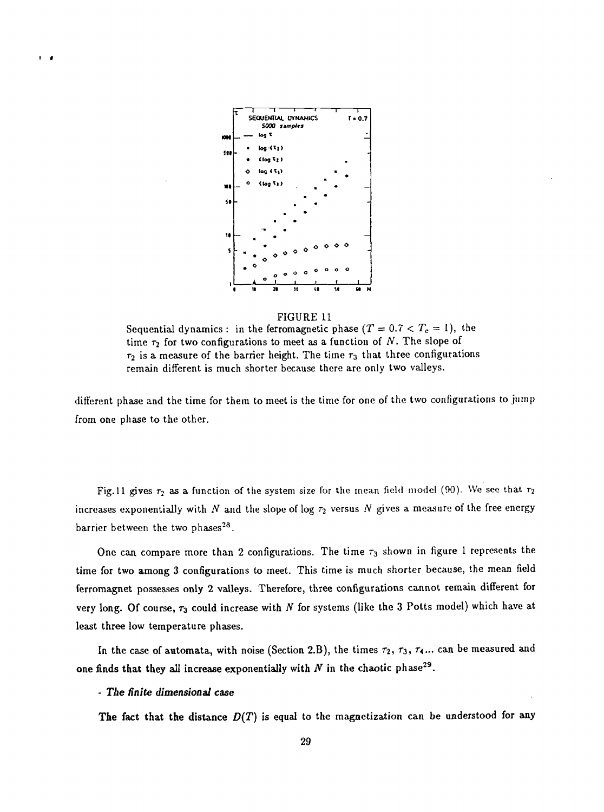

#### FIGURE 11

Sequential dynamics : in the ferromagnetic phase  $(T = 0.7 < T_c = 1)$ , the time  $\tau_2$  for two configurations to meet as a function of N. The slope of  $\tau_2$  is a measure of the barrier height. The time  $\tau_3$  that three configurations remain different is much shorter because there are only two valleys.

different phase and the time for them to meet is the time for one of the two configurations to jump from one phase to the other.

Fig. 11 gives  $\tau_2$  as a function of the system size for the mean field model (90). We see that  $\tau_2$ increases exponentially with  $N$  and the slope of log  $\tau_2$  versus  $N$  gives a measure of the free energy barrier between the two phases<sup>28</sup>.

One can compare more than 2 configurations. The time  $\tau_3$  shown in figure 1 represents the time for two among 3 configurations to meet. This time is much shorter because, the mean field ferromagnet possesses only 2 valleys. Therefore, three configurations cannot remain different for very long. Of course,  $\tau_3$  could increase with  $N$  for systems (like the 3 Potts model) which have at least three low temperature phases.

In the case of automata, with noise (Section 2.B), the times  $\tau_2$ ,  $\tau_3$ ,  $\tau_4$ ... can be measured and one finds that they all increase exponentially with  $N$  in the chaotic phase<sup>29</sup>.

#### - *The finite dimensional case*

 $\mathbf{I}$ 

The fact that the distance  $D(T)$  is equal to the magnetization can be understood for any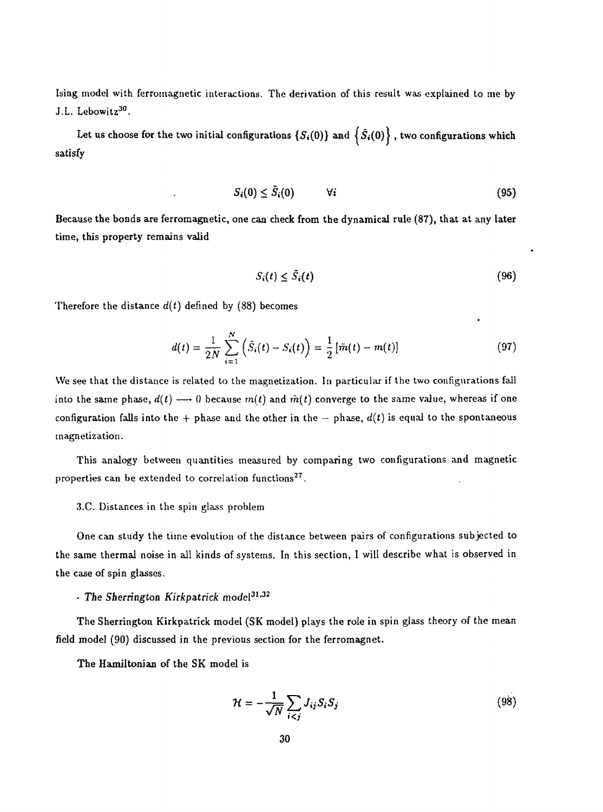Ising model with ferromagnetic interactions. The derivation of this result was explained to me by J.L. Lebowitz<sup>30</sup>.

Let us choose for the two initial configurations  $\{S_i(0)\}$  and  $\{S_i(0)\}$ , two configurations which satisfy

$$
S_i(0) \leq \bar{S}_i(0) \qquad \forall i \tag{95}
$$

Because the bonds are ferromagnetic, one can check from the dynamical rule (87), that at any later time, this property remains valid

$$
S_i(t) \leq \tilde{S}_i(t) \tag{96}
$$

Therefore the distance  $d(t)$  defined by (88) becomes

$$
d(t) = \frac{1}{2N} \sum_{i=1}^{N} \left( \bar{S}_i(t) - S_i(t) \right) = \frac{1}{2} \left[ \bar{m}(t) - m(t) \right]
$$
 (97)

We see that the distance is related to the magnetization. In particular if the two configurations fall into the same phase,  $d(t) \rightarrow 0$  because  $m(t)$  and  $\tilde{m}(t)$  converge to the same value, whereas if one configuration falls into the + phase and the other in the  $-$  phase,  $d(t)$  is equal to the spontaneous magnetization.

This analogy between quantities measured by comparing two configurations and magnetic properties can be extended to correlation functions<sup>27</sup>.

#### 3.C. Distances in the spin glass problem

One can study the time evolution of the distance between pairs of configurations subjected to the same thermal noise in all kinds of systems. In this section, I will describe what is observed in the case of spin glasses.

## - The Sherrington Kirkpatrick model<sup>31,32</sup>

The Sherrington Kirkpatrick model (SK model) plays the role in spin glass theory of the mean field model (90) discussed in the previous section for the ferromagnet.

The Hamiltonian of the SK model is

$$
\mathcal{H} = -\frac{1}{\sqrt{N}} \sum_{i < j} J_{ij} S_i S_j \tag{98}
$$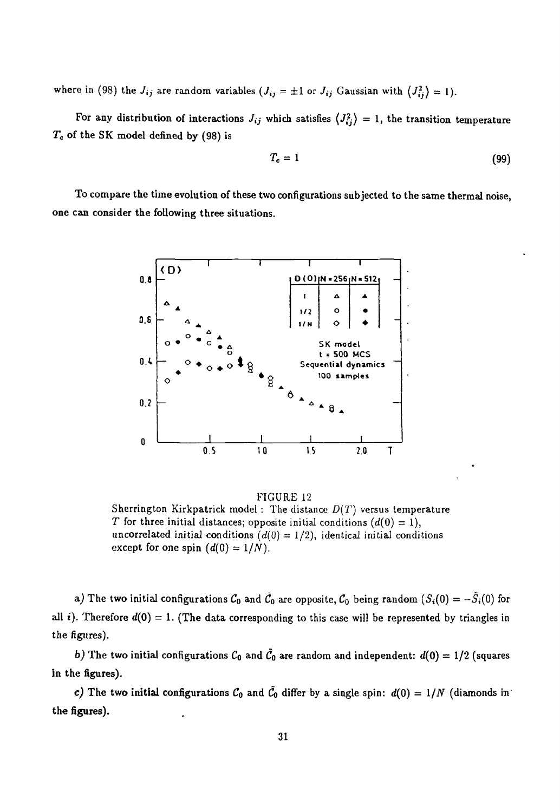where in (98) the  $J_{ij}$  are random variables  $(J_{ij} = \pm 1$  or  $J_{ij}$  Gaussian with  $\langle J_{ij}^2 \rangle = 1$ ).

For any distribution of interactions  $J_{ij}$  which satisfies  $\langle J_{ij}^2 \rangle = 1$ , the transition temperature *Tc* of the SK model defined by (98) is

$$
T_c = 1 \tag{99}
$$

To compare the time evolution of these two configurations subjected to the same thermal noise, one can consider the following three situations.



FIGURE 12 Sherrington Kirkpatrick model : The distance *D(T)* versus temperature *T* for three initial distances; opposite initial conditions  $(d(0) = 1)$ , uncorrelated initial conditions  $(d(0) = 1/2)$ , identical initial conditions except for one spin  $(d(0) = 1/N)$ .

*a)* The two initial configurations  $C_0$  and  $\tilde{C}_0$  are opposite,  $C_0$  being random  $(S_i(0) = -\tilde{S}_i(0)$  for all i). Therefore  $d(0) = 1$ . (The data corresponding to this case will be represented by triangles in the figures).

*b)* The two initial configurations  $C_0$  and  $\tilde{C}_0$  are random and independent:  $d(0) = 1/2$  (squares in the figures).

*c)* The two initial configurations  $C_0$  and  $\tilde{C}_0$  differ by a single spin:  $d(0) = 1/N$  (diamonds in the figures).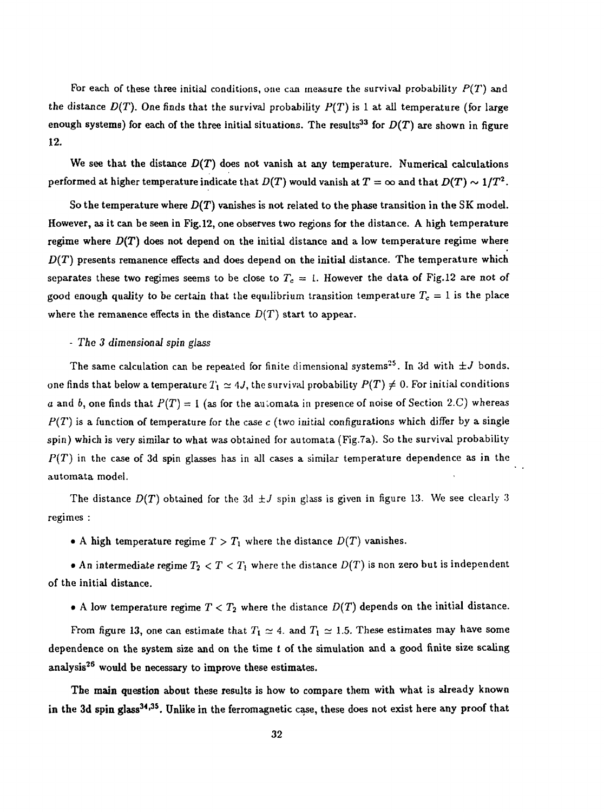For each of these three initial conditions, one can measure the survival probability *P(T)* and the distance  $D(T)$ . One finds that the survival probability  $P(T)$  is 1 at all temperature (for large enough systems) for each of the three initial situations. The results<sup>33</sup> for  $D(T)$  are shown in figure 12.

We see that the distance  $D(T)$  does not vanish at any temperature. Numerical calculations performed at higher temperature indicate that  $D(T)$  would vanish at  $T=\infty$  and that  $D(T)\sim 1/T^2.$ 

So the temperature where *D(T)* vanishes is not related to the phase transition in the SK model. However, as it can be seen in Fig. 12, one observes two regions for the distance. A high temperature regime where *D(T)* does not depend on the initial distance and a low temperature regime where  $D(T)$  presents remanence effects and does depend on the initial distance. The temperature which separates these two regimes seems to be close to  $T_c = 1$ . However the data of Fig.12 are not of good enough quality to be certain that the equilibrium transition temperature  $T_c = 1$  is the place where the remanence effects in the distance  $D(T)$  start to appear.

#### • *The 3 dimensional spin glass*

The same calculation can be repeated for finite dimensional systems<sup>25</sup>. In 3d with  $\pm J$  bonds, one finds that below a temperature  $T_1 \simeq 4J$ , the survival probability  $P(T) \neq 0$ . For initial conditions a and b, one finds that  $P(T) = 1$  (as for the automata in presence of noise of Section 2.C) whereas *P(T)* is a function of temperature for the case *c* (two initial configurations which differ by a single spin) which is very similar to what was obtained for automata (Fig.Ta). So the survival probability *P(T)* in the case of 3d spin glasses has in all cases a similar temperature dependence as in the automata model.

The distance  $D(T)$  obtained for the 3d  $\pm J$  spin glass is given in figure 13. We see clearly 3 regimes :

• A high temperature regime  $T > T_1$  where the distance  $D(T)$  vanishes.

• An intermediate regime  $T_2 < T < T_1$  where the distance  $D(T)$  is non zero but is independent of the initial distance.

• A low temperature regime  $T < T_2$  where the distance  $D(T)$  depends on the initial distance.

From figure 13, one can estimate that  $T_1 \simeq 4$ . and  $T_1 \simeq 1.5$ . These estimates may have some dependence on the system size and on the time *t* of the simulation and a good finite size scaling analysis<sup>26</sup> would be necessary to improve these estimates.

The main question about these results is how to compare them with what is already known in the 3d spin glass<sup>34,35</sup>. Unlike in the ferromagnetic case, these does not exist here any proof that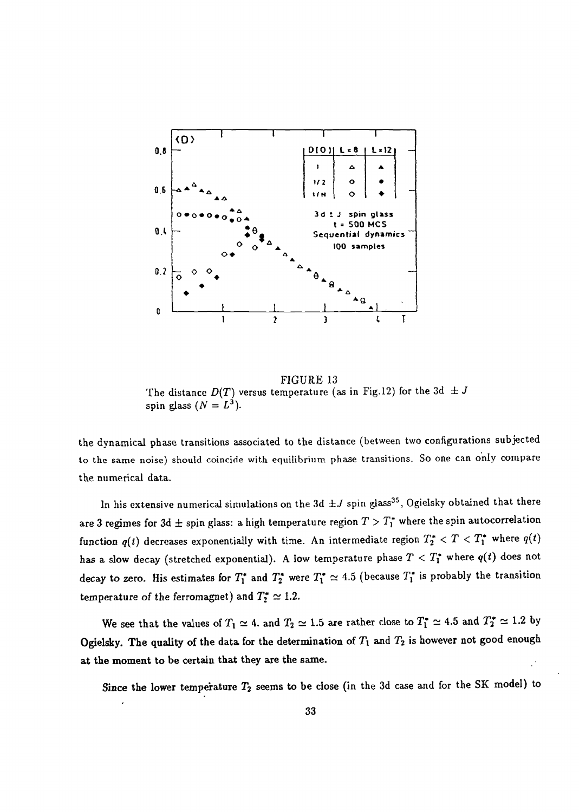

FIGURE 13 The distance  $D(T)$  versus temperature (as in Fig. 12) for the 3d  $\pm J$ spin glass  $(N = L^3)$ .

the dynamical phase transitions associated to the distance (between two configurations subjected to the same noise) should coincide with equilibrium phase transitions. So one can only compare the numerical data.

In his extensive numerical simulations on the 3d  $\pm J$  spin glass<sup>35</sup>, Ogielsky obtained that there are 3 regimes for 3d  $\pm$  spin glass: a high temperature region  $T > T_1^*$  where the spin autocorrelation function  $q(t)$  decreases exponentially with time. An intermediate region  $T_2^* < T < T_1^*$  where  $q(t)$ *has* a slow decay (stretched exponential). A low temperature phase  $T < T_1^*$  where  $q(t)$  does not decay to zero. His estimates for  $T_1^*$  and  $T_2^*$  were  $T_1^* \simeq 4.5$  (because  $T_1^*$  is probably the transition temperature of the ferromagnet) and  $T_2^* \simeq 1.2$ .

We see that the values of  $T_1 \simeq 4$ , and  $T_2 \simeq 1.5$  are rather close to  $T_1^* \simeq 4.5$  and  $T_2^* \simeq 1.2$  by Ogielsky. The quality of the data for the determination of  $T_1$  and  $T_2$  is however not good enough at the moment to be certain that they are the same.

Since the lower temperature  $T_2$  seems to be close (in the 3d case and for the SK model) to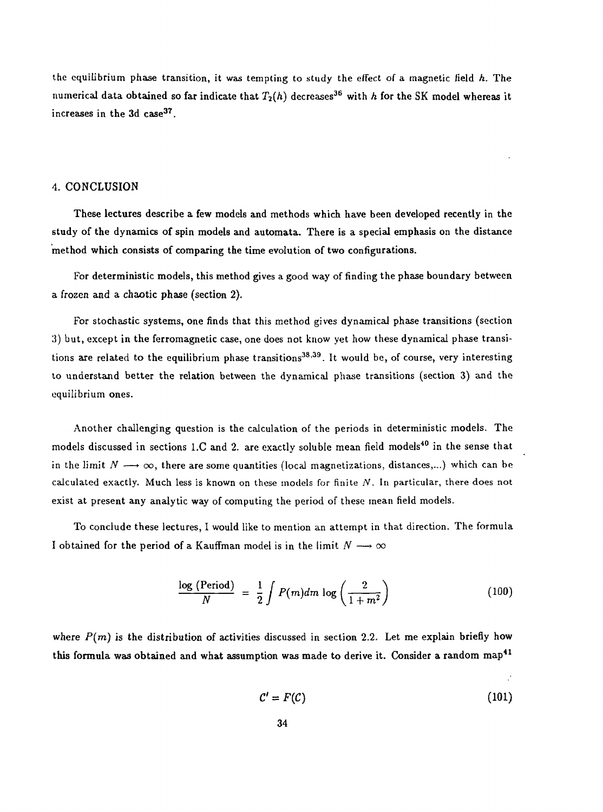the equilibrium phase transition, it was tempting to study the effect of a magnetic field *k.* The numerical data obtained so far indicate that  $T_2(h)$  decreases<sup>36</sup> with  $h$  for the SK model whereas it increases in the 3d case<sup>37</sup>.

#### 4. CONCLUSION

These lectures describe a few models and methods which have been developed recently in the study of the dynamics of spin models and automata. There is a special emphasis on the distance method which consists of comparing the time evolution of two configurations.

For deterministic models, this method gives a good way of finding the phase boundary between a frozen and a chaotic phase (section 2).

For stochastic systems, one finds that this method gives dynamical phase transitions (section 3) but, except in the ferromagnetic case, one does not know yet how these dynamical phase transitions are related to the equilibrium phase transitions<sup>38,39</sup>. It would be, of course, very interesting to understand better the relation between the dynamical phase transitions (section 3) and the equilibrium ones.

Another challenging question is the calculation of the periods in deterministic models. The models discussed in sections 1.C and 2. are exactly soluble mean field models<sup>40</sup> in the sense that in the limit  $N \longrightarrow \infty$ , there are some quantities (local magnetizations, distances,...) which can be calculated exactly. Much less is known on these models for finite *N.* In particular, there does not exist at present any analytic way of computing the period of these mean field models.

To conclude these lectures, I would like to mention an attempt in that direction. The formula I obtained for the period of a Kauffman model is in the limit  $N \longrightarrow \infty$ 

$$
\frac{\log \text{(Period)}}{N} = \frac{1}{2} \int P(m) dm \log \left( \frac{2}{1 + m^2} \right) \tag{100}
$$

where  $P(m)$  is the distribution of activities discussed in section 2.2. Let me explain briefly how this formula was obtained and what assumption was made to derive it. Consider a random map<sup>41</sup>

$$
\mathcal{C}' = F(\mathcal{C}) \tag{101}
$$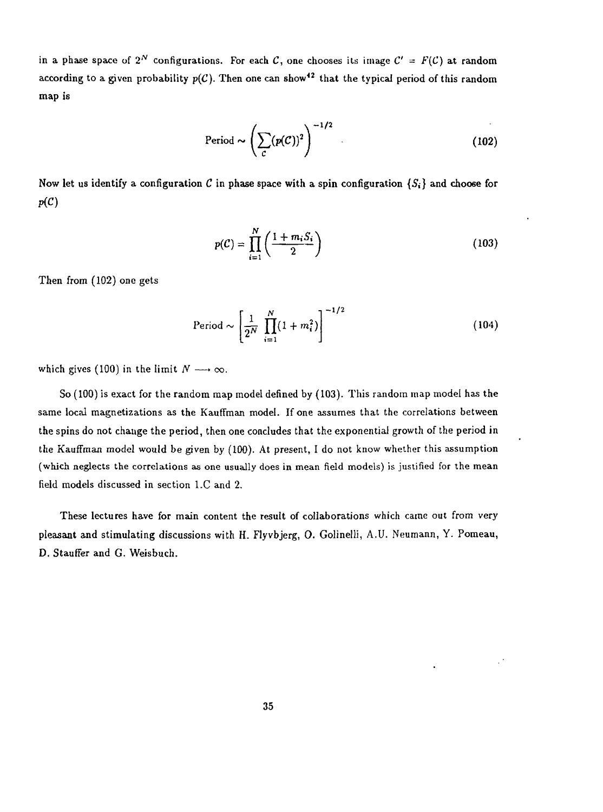in a phase space of  $2^N$  configurations. For each C, one chooses its image  $C' = F(C)$  at random according to a given probability  $p(\mathcal{C})$ . Then one can show<sup>42</sup> that the typical period of this random map is

$$
Period \sim \left(\sum_{c} (p(C))^2\right)^{-1/2}
$$
 (102)

Now let us identify a configuration C in phase space with a spin configuration  $\{S_i\}$  and choose for *P(C)*

$$
p(C) = \prod_{i=1}^{N} \left( \frac{1 + m_i S_i}{2} \right) \tag{103}
$$

Then from (102) one gets

$$
Period \sim \left[\frac{1}{2^N} \prod_{i=1}^N (1 + m_i^2)\right]^{-1/2}
$$
 (104)

 $\mathbb{R}^4$ 

which gives (100) in the limit  $N \longrightarrow \infty$ .

So (100) is exact for the random map model defined by (103). This random map model has the same local magnetizations as the Kauffman model. If one assumes that the correlations between the spins do not change the period, then one concludes that the exponential growth of the period in the Kauffman model would be given by (100). At present, I do not know whether this assumption (which neglects the correlations as one usually does in mean field models) is justified for the mean field models discussed in section l.C and 2.

These lectures have for main content the result of collaborations which came out from very pleasant and stimulating discussions with H. Flyvbjerg, O. Golinelli, A.U. Neumann, Y. Pomeau, D. Stauffer and G. Weisbuch.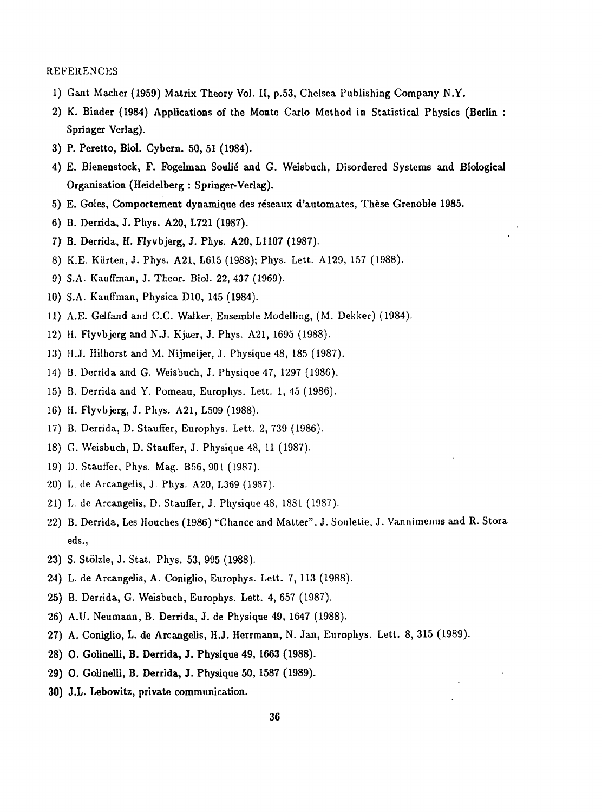#### REFERENCES

- 1) Gant Mâcher (1959) Matrix Theory Vol. II, p.53, Chelsea Publishing Company N.Y.
- 2) K. Binder (1984) Applications of the Monte Carlo Method in Statistical Physics (Berlin : Springer Verlag).
- 3) P. Peretto, Biol. Cybern. 50, 51 (1984).
- 4) E. Bienenstock, F. Fogelman Soulié and G. Weisbuch, Disordered Systems and Biological Organisation (Heidelberg : Springer-Verlag).
- 5) E. Goles, Comportement dynamique des réseaux d'automates, Thèse Grenoble 1985.
- 6) B. Derrida, J. Phys. A20, L721 (1987).
- 7) B. Derrida, H. Flyvbjerg, J. Phys. A20, L1107 (1987).
- 8) K.E. Kiirten, J. Phys. A21, L615 (1988); Phys. Lett. A129, 157 (1988).
- 9) S.A. Kauffman, J. Theor. Biol. 22, 437 (1969).
- 10) S.A. Kauffman, Physica D10, 145 (1984).
- 11) A.E. Gelfand and C.C. Walker, Ensemble Modelling, (M. Dekker) (1984).
- 12) H. Flyvbjerg and N.J. Kjaer, J. Phys. A21, 1695 (1988).
- 13) H.J. Hilhorst and M. Nijmeijer, J. Physique 48, 185 (1987).
- 14) B. Derrida and G. Weisbuch, J. Physique 47, 1297 (1986).
- 15) B. Derrida and Y. Pomeau, Europhys. Lett. 1, 45 (1986).
- 16) H. Flyvbjerg, J. Phys. A21, L509 (1988).
- 17) B. Derrida, D. Stauffer, Europhys. Lett. 2, 739 (1986).
- 18) G. Weisbuch, D. Stauffer, J. Physique 48, 11 (1987).
- 19) D. Stauffer, Phys. Mag. B56, 901 (1987).
- 20) L. de Arcangelis, J. Phys. A20, L369 (1987).
- 21) L. de Arcangelis, D. Stauffer, J. Physique 48, 1881 (1987).
- 22) B. Derrida, Les Houches (1986) "Chance and Matter", J. Souletie, J. Vannimemis and R. Stora eds.,
- 23) S. Stôlzle, J. Stat. Phys. 53, 995 (1988).
- 24) L. de Arcangelis, A. Coniglio, Europhys. Lett. 7, 113 (1988).
- 25) B. Derrida, G. Weisbuch, Europhys. Lett. 4, 657 (1987).
- 26) A.U. Neumann, B. Derrida, J. de Physique 49, 1647 (1988).
- 27) A. Coniglio, L. de Arcangelis, H.J. Herrmann, N. Jan, Europhys. Lett. 8, 315 (1989).
- 28) 0. Golinelli, B. Derrida, J. Physique 49, 1663 (1988).
- 29) 0. Golinelli, B. Derrida, J. Physique 50, 1587 (1989).
- 30) J.L. Lebowitz, private communication.